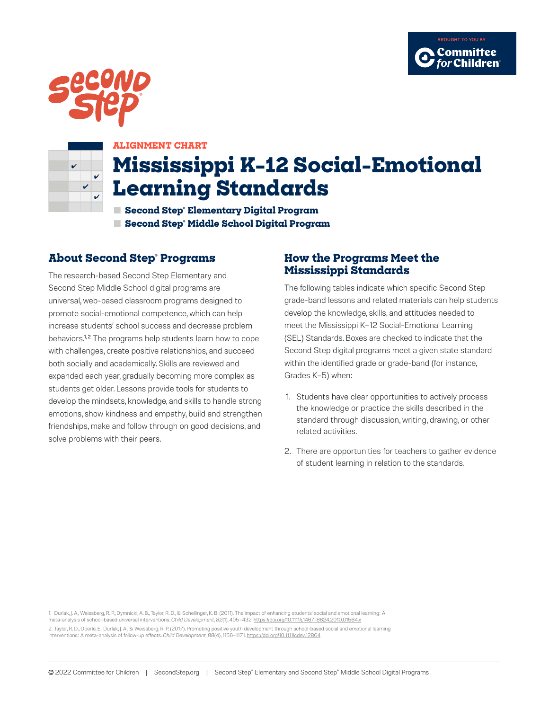





#### **ALIGNMENT CHART**

# **Mississippi K–12 Social-Emotional Learning Standards**

**■ Second Step® Elementary Digital Program ■ Second Step® Middle School Digital Program**

### **About Second Step® Programs**

The research-based Second Step Elementary and Second Step Middle School digital programs are universal, web-based classroom programs designed to promote social-emotional competence, which can help increase students' school success and decrease problem behaviors.<sup>1,2</sup> The programs help students learn how to cope with challenges, create positive relationships, and succeed both socially and academically. Skills are reviewed and expanded each year, gradually becoming more complex as students get older. Lessons provide tools for students to develop the mindsets, knowledge, and skills to handle strong emotions, show kindness and empathy, build and strengthen friendships, make and follow through on good decisions, and solve problems with their peers.

### **How the Programs Meet the Mississippi Standards**

The following tables indicate which specific Second Step grade-band lessons and related materials can help students develop the knowledge, skills, and attitudes needed to meet the Mississippi K–12 Social-Emotional Learning (SEL) Standards. Boxes are checked to indicate that the Second Step digital programs meet a given state standard within the identified grade or grade-band (for instance, Grades K–5) when:

- 1. Students have clear opportunities to actively process the knowledge or practice the skills described in the standard through discussion, writing, drawing, or other related activities.
- 2. There are opportunities for teachers to gather evidence of student learning in relation to the standards.

1. Durlak, J. A., Weissberg, R. P., Dymnicki, A. B., Taylor, R. D., & Schellinger, K. B. (2011). The impact of enhancing students' social and emotional learning: A meta-analysis of school-based universal interventions. *Child Development, 82*(1), 405–432. https://doi.org/10.1111/j.1467-8624.2010.01564.x 2. Taylor, R. D., Oberle, E., Durlak, J. A., & Weissberg, R. P. (2017). Promoting positive youth development through school-based social and emotional learning interventions: A meta-analysis of follow-up effects. *Child Development, 88*(4), 1156–1171. https://doi.org/10.1111/cdev.12864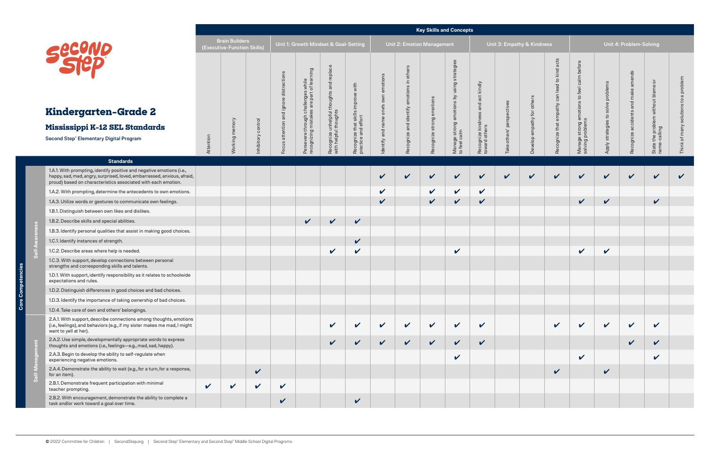**Self-Awareness**

 $\ddot{a}$ 

|                                                                                                                                                                                                                   |             |                                                      |              |                                                      |                                                               |                                                                   |                                                           |                 |                                              |                  | <b>Key Skills and Concepts</b>            |                                     |                            |                            |                                                    |                                            |                    |                            |                                                       |              |
|-------------------------------------------------------------------------------------------------------------------------------------------------------------------------------------------------------------------|-------------|------------------------------------------------------|--------------|------------------------------------------------------|---------------------------------------------------------------|-------------------------------------------------------------------|-----------------------------------------------------------|-----------------|----------------------------------------------|------------------|-------------------------------------------|-------------------------------------|----------------------------|----------------------------|----------------------------------------------------|--------------------------------------------|--------------------|----------------------------|-------------------------------------------------------|--------------|
| Second                                                                                                                                                                                                            |             | <b>Brain Builders</b><br>(Executive-Function Skills) |              |                                                      | Unit 1: Growth Mindset & Goal-Setting                         |                                                                   |                                                           |                 | <b>Unit 2: Emotion Management</b>            |                  |                                           |                                     | Unit 3: Empathy & Kindness |                            |                                                    |                                            |                    | Unit 4: Problem-Solving    |                                                       |              |
|                                                                                                                                                                                                                   |             |                                                      |              | distractions<br>$\omega$                             | s while<br>: of learning                                      | Recognize unhelpful thoughts and replace<br>with helpful thoughts | Recognize that skills improve with<br>practice and effort | emotions<br>own | others<br>Recognize and identify emotions in | emotions         | using strategies                          | and act kindly                      |                            | others                     | acts<br>kind<br>$\overline{c}$<br><b>be</b><br>can | calm before<br>to feel                     | problems           | amends<br>$\omega$<br>and  | ਠੋ<br>State the problem without blame<br>name-calling | problem      |
| Kindergarten-Grade 2                                                                                                                                                                                              |             |                                                      |              | $\overline{\mathsf{g}}$<br>$\sigma$<br>$\frac{1}{6}$ |                                                               |                                                                   |                                                           | one's           |                                              |                  |                                           |                                     | perspectives               |                            | empathy                                            |                                            | solve<br>ies to    |                            |                                                       |              |
| Mississippi K-12 SEL Standards                                                                                                                                                                                    |             |                                                      | control      | attention                                            |                                                               |                                                                   |                                                           | name            |                                              |                  |                                           |                                     |                            |                            |                                                    |                                            |                    |                            |                                                       |              |
| Second Step® Elementary Digital Program                                                                                                                                                                           | Attention   | Working memory                                       | Inhibitory   | ທ<br>∍<br>$\overline{5}$                             | Persevere through challenges<br>recognizing mistakes are part |                                                                   |                                                           | and<br>ldentify |                                              | Recognize strong | Manage strong emotions by<br>to feel calm | Recognize kindness<br>toward others | others'<br><b>Take</b>     | Develop empathy for        | Recognize that                                     | Manage strong emotions<br>solving problems | strategie<br>Apply | Recognize accidents        |                                                       |              |
| <b>Standards</b>                                                                                                                                                                                                  |             |                                                      |              |                                                      |                                                               |                                                                   |                                                           |                 |                                              |                  |                                           |                                     |                            |                            |                                                    |                                            |                    |                            |                                                       |              |
| 1.A.1. With prompting, identify positive and negative emotions (i.e.,<br>happy, sad, mad, angry, surprised, loved, embarrassed, anxious, afraid,<br>proud) based on characteristics associated with each emotion. |             |                                                      |              |                                                      |                                                               |                                                                   |                                                           | $\checkmark$    | $\boldsymbol{\mathcal{U}}$                   | $\checkmark$     | $\checkmark$                              | $\checkmark$                        | V                          | $\boldsymbol{\mathcal{U}}$ | $\boldsymbol{\nu}$                                 | $\checkmark$                               | $\checkmark$       | $\boldsymbol{\mathcal{U}}$ | $\checkmark$                                          | $\checkmark$ |
| 1.A.2. With prompting, determine the antecedents to own emotions.                                                                                                                                                 |             |                                                      |              |                                                      |                                                               |                                                                   |                                                           | $\checkmark$    |                                              | $\checkmark$     | $\boldsymbol{\mathcal{U}}$                | $\checkmark$                        |                            |                            |                                                    |                                            |                    |                            |                                                       |              |
| 1.A.3. Utilize words or gestures to communicate own feelings.                                                                                                                                                     |             |                                                      |              |                                                      |                                                               |                                                                   |                                                           | $\checkmark$    |                                              | $\checkmark$     | $\checkmark$                              | $\checkmark$                        |                            |                            |                                                    | $\checkmark$                               | $\checkmark$       |                            | $\checkmark$                                          |              |
| 1.B.1. Distinguish between own likes and dislikes.                                                                                                                                                                |             |                                                      |              |                                                      |                                                               |                                                                   |                                                           |                 |                                              |                  |                                           |                                     |                            |                            |                                                    |                                            |                    |                            |                                                       |              |
| 1.B.2. Describe skills and special abilities.                                                                                                                                                                     |             |                                                      |              |                                                      | $\checkmark$                                                  | $\checkmark$                                                      | $\checkmark$                                              |                 |                                              |                  |                                           |                                     |                            |                            |                                                    |                                            |                    |                            |                                                       |              |
| 1.B.3. Identify personal qualities that assist in making good choices.                                                                                                                                            |             |                                                      |              |                                                      |                                                               |                                                                   |                                                           |                 |                                              |                  |                                           |                                     |                            |                            |                                                    |                                            |                    |                            |                                                       |              |
| 1.C.1. Identify instances of strength.                                                                                                                                                                            |             |                                                      |              |                                                      |                                                               |                                                                   | V                                                         |                 |                                              |                  |                                           |                                     |                            |                            |                                                    |                                            |                    |                            |                                                       |              |
| 1.C.2. Describe areas where help is needed.                                                                                                                                                                       |             |                                                      |              |                                                      |                                                               | $\checkmark$                                                      | $\boldsymbol{\mathcal{U}}$                                |                 |                                              |                  | $\mathbf v$                               |                                     |                            |                            |                                                    | $\checkmark$                               | $\checkmark$       |                            |                                                       |              |
| 1.C.3. With support, develop connections between personal<br>strengths and corresponding skills and talents.                                                                                                      |             |                                                      |              |                                                      |                                                               |                                                                   |                                                           |                 |                                              |                  |                                           |                                     |                            |                            |                                                    |                                            |                    |                            |                                                       |              |
| 1.D.1. With support, identify responsibility as it relates to schoolwide<br>expectations and rules.                                                                                                               |             |                                                      |              |                                                      |                                                               |                                                                   |                                                           |                 |                                              |                  |                                           |                                     |                            |                            |                                                    |                                            |                    |                            |                                                       |              |
| 1.D.2. Distinguish differences in good choices and bad choices.                                                                                                                                                   |             |                                                      |              |                                                      |                                                               |                                                                   |                                                           |                 |                                              |                  |                                           |                                     |                            |                            |                                                    |                                            |                    |                            |                                                       |              |
| 1.D.3. Identify the importance of taking ownership of bad choices.                                                                                                                                                |             |                                                      |              |                                                      |                                                               |                                                                   |                                                           |                 |                                              |                  |                                           |                                     |                            |                            |                                                    |                                            |                    |                            |                                                       |              |
| 1.D.4. Take care of own and others' belongings.                                                                                                                                                                   |             |                                                      |              |                                                      |                                                               |                                                                   |                                                           |                 |                                              |                  |                                           |                                     |                            |                            |                                                    |                                            |                    |                            |                                                       |              |
| 2.A.1. With support, describe connections among thoughts, emotions<br>(i.e., feelings), and behaviors (e.g., if my sister makes me mad, I might<br>want to yell at her).                                          |             |                                                      |              |                                                      |                                                               | $\checkmark$                                                      | $\boldsymbol{\nu}$                                        | $\checkmark$    | $\mathbf v$                                  | $\checkmark$     | $\checkmark$                              | $\checkmark$                        |                            |                            | $\boldsymbol{\mathcal{U}}$                         | $\checkmark$                               | $\checkmark$       | $\boldsymbol{\mathcal{U}}$ | $\boldsymbol{\mathcal{U}}$                            |              |
| 2.A.2. Use simple, developmentally appropriate words to express<br>thoughts and emotions (i.e., feelings-e.g., mad, sad, happy).                                                                                  |             |                                                      |              |                                                      |                                                               | $\boldsymbol{\mathcal{U}}$                                        | $\boldsymbol{\mathcal{U}}$                                | $\checkmark$    | $\boldsymbol{\mathcal{U}}$                   | $\checkmark$     | $\checkmark$                              | $\checkmark$                        |                            |                            |                                                    |                                            |                    | $\checkmark$               | $\checkmark$                                          |              |
| 2.A.3. Begin to develop the ability to self-regulate when<br>experiencing negative emotions.                                                                                                                      |             |                                                      |              |                                                      |                                                               |                                                                   |                                                           |                 |                                              |                  | V                                         |                                     |                            |                            |                                                    | V                                          |                    |                            | V                                                     |              |
| 2.A.4. Demonstrate the ability to wait (e.g., for a turn, for a response,<br>for an item).                                                                                                                        |             |                                                      | $\checkmark$ |                                                      |                                                               |                                                                   |                                                           |                 |                                              |                  |                                           |                                     |                            |                            | $\checkmark$                                       |                                            | $\checkmark$       |                            |                                                       |              |
| 2.B.1. Demonstrate frequent participation with minimal<br>teacher prompting.                                                                                                                                      | $\mathbf v$ | $\checkmark$                                         | $\checkmark$ | $\checkmark$                                         |                                                               |                                                                   |                                                           |                 |                                              |                  |                                           |                                     |                            |                            |                                                    |                                            |                    |                            |                                                       |              |
| 2.B.2. With encouragement, demonstrate the ability to complete a<br>task and/or work toward a goal over time.                                                                                                     |             |                                                      |              | V                                                    |                                                               |                                                                   | $\checkmark$                                              |                 |                                              |                  |                                           |                                     |                            |                            |                                                    |                                            |                    |                            |                                                       |              |

 $\sigma$ 



## **Kindergart**

### **Mississippi K-**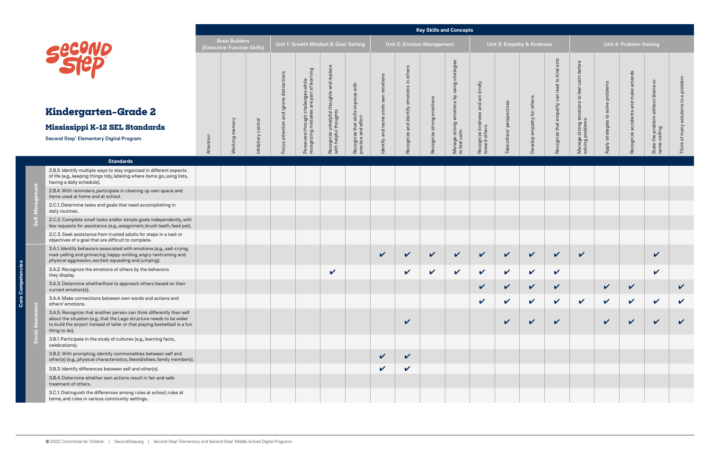**Core Competencies**

Ē Core **Self-Management**

B ී

|                                                                                                                                                                                                                                             |           |                                                      |            |                   |                                                                                 |                                                                   |                                                           |                 |                                             |                           | <b>Key Skills and Concepts</b>                             |                                     |                    |                            |                                                                   |                                            |                    |                         |                                                      |                    |
|---------------------------------------------------------------------------------------------------------------------------------------------------------------------------------------------------------------------------------------------|-----------|------------------------------------------------------|------------|-------------------|---------------------------------------------------------------------------------|-------------------------------------------------------------------|-----------------------------------------------------------|-----------------|---------------------------------------------|---------------------------|------------------------------------------------------------|-------------------------------------|--------------------|----------------------------|-------------------------------------------------------------------|--------------------------------------------|--------------------|-------------------------|------------------------------------------------------|--------------------|
| Secure                                                                                                                                                                                                                                      |           | <b>Brain Builders</b><br>(Executive-Function Skills) |            |                   | Unit 1: Growth Mindset & Goal-Setting                                           |                                                                   |                                                           |                 | Unit 2: Emotion Management                  |                           |                                                            |                                     |                    | Unit 3: Empathy & Kindness |                                                                   |                                            |                    | Unit 4: Problem-Solving |                                                      |                    |
|                                                                                                                                                                                                                                             |           |                                                      |            | actions<br>distra | Persevere through challenges while<br>recognizing mistakes are part of learning | Recognize unhelpful thoughts and replace<br>with helpful thoughts | Recognize that skills improve with<br>practice and effort | emotions<br>own | others<br>$\mathrel{\mathop:}=$<br>emotions |                           | Manage strong emotions by using strategies<br>to feel calm | act kindly<br>and                   |                    |                            | acts<br>kind<br>$\mathtt{S}$<br>$\overline{\sigma}$<br>lea<br>can | calm before<br>feel<br>$\mathsf{c}_1$      | problems<br>solve  | amends<br>and           | ŏ<br>State the problem without blame<br>name-calling | oblem              |
| Kindergarten-Grade 2                                                                                                                                                                                                                        |           |                                                      |            | and ign           |                                                                                 |                                                                   |                                                           | one's<br>name   |                                             |                           |                                                            |                                     | perspectives       |                            | empathy                                                           |                                            |                    |                         |                                                      |                    |
| Mississippi K-12 SEL Standards                                                                                                                                                                                                              |           | mory                                                 | control    | attention         |                                                                                 |                                                                   |                                                           | and             |                                             |                           |                                                            |                                     |                    |                            |                                                                   |                                            | strategies to      |                         |                                                      |                    |
| Second Step® Elementary Digital Program                                                                                                                                                                                                     | Attention | Working me                                           | Inhibitory | Focu              |                                                                                 |                                                                   |                                                           | Identify        | Recognize and identify                      | Recognize strong emotions |                                                            | Recognize kindness<br>toward others | others'<br>Take    | Develop empathy for others | Recognize that                                                    | Manage strong emotions<br>solving problems | Apply              | Recognize accidents     |                                                      |                    |
| <b>Standards</b>                                                                                                                                                                                                                            |           |                                                      |            |                   |                                                                                 |                                                                   |                                                           |                 |                                             |                           |                                                            |                                     |                    |                            |                                                                   |                                            |                    |                         |                                                      |                    |
| 2.B.3. Identify multiple ways to stay organized in different aspects<br>of life (e.g., keeping things tidy, labeling where items go, using lists,<br>having a daily schedule).                                                              |           |                                                      |            |                   |                                                                                 |                                                                   |                                                           |                 |                                             |                           |                                                            |                                     |                    |                            |                                                                   |                                            |                    |                         |                                                      |                    |
| 2.B.4. With reminders, participate in cleaning up own space and<br>items used at home and at school.                                                                                                                                        |           |                                                      |            |                   |                                                                                 |                                                                   |                                                           |                 |                                             |                           |                                                            |                                     |                    |                            |                                                                   |                                            |                    |                         |                                                      |                    |
| 2.C.1. Determine tasks and goals that need accomplishing in<br>daily routines.                                                                                                                                                              |           |                                                      |            |                   |                                                                                 |                                                                   |                                                           |                 |                                             |                           |                                                            |                                     |                    |                            |                                                                   |                                            |                    |                         |                                                      |                    |
| 2.C.2. Complete small tasks and/or simple goals independently, with<br>few requests for assistance (e.g., assignment, brush teeth, feed pet).                                                                                               |           |                                                      |            |                   |                                                                                 |                                                                   |                                                           |                 |                                             |                           |                                                            |                                     |                    |                            |                                                                   |                                            |                    |                         |                                                      |                    |
| 2.C.3. Seek assistance from trusted adults for steps in a task or<br>objectives of a goal that are difficult to complete.                                                                                                                   |           |                                                      |            |                   |                                                                                 |                                                                   |                                                           |                 |                                             |                           |                                                            |                                     |                    |                            |                                                                   |                                            |                    |                         |                                                      |                    |
| 3.A.1. Identify behaviors associated with emotions (e.g., sad-crying,<br>mad-yelling and grimacing, happy-smiling, angry-tantruming and<br>physical aggression, excited-squealing and jumping).                                             |           |                                                      |            |                   |                                                                                 |                                                                   |                                                           | $\checkmark$    | $\boldsymbol{\mathcal{U}}$                  | $\checkmark$              | $\checkmark$                                               | $\checkmark$                        | $\checkmark$       | $\checkmark$               | $\checkmark$                                                      | $\checkmark$                               |                    |                         | $\checkmark$                                         |                    |
| 3.A.2. Recognize the emotions of others by the behaviors<br>they display.                                                                                                                                                                   |           |                                                      |            |                   |                                                                                 | $\checkmark$                                                      |                                                           |                 | $\checkmark$                                | $\checkmark$              | $\checkmark$                                               | $\checkmark$                        | $\mathbf v$        | $\checkmark$               | $\checkmark$                                                      |                                            |                    |                         | $\checkmark$                                         |                    |
| 3.A.3. Determine whether/how to approach others based on their<br>current emotion(s).                                                                                                                                                       |           |                                                      |            |                   |                                                                                 |                                                                   |                                                           |                 |                                             |                           |                                                            | ✔                                   | $\boldsymbol{\nu}$ | $\boldsymbol{\nu}$         | $\boldsymbol{\nu}$                                                |                                            | $\boldsymbol{\nu}$ | $\boldsymbol{\nu}$      |                                                      | $\boldsymbol{\nu}$ |
| 3.A.4. Make connections between own words and actions and<br>others' emotions.                                                                                                                                                              |           |                                                      |            |                   |                                                                                 |                                                                   |                                                           |                 |                                             |                           |                                                            | V                                   | V                  | V                          | $\boldsymbol{\mathcal{U}}$                                        | $\checkmark$                               | $\checkmark$       | $\checkmark$            | $\checkmark$                                         | V                  |
| 3.A.5. Recognize that another person can think differently than self<br>about the situation (e.g., that the Lego structure needs to be wider<br>to build the airport instead of taller or that playing basketball is a fun<br>thing to do). |           |                                                      |            |                   |                                                                                 |                                                                   |                                                           |                 | $\checkmark$                                |                           |                                                            |                                     |                    | V                          | V                                                                 |                                            | V                  |                         | $\boldsymbol{\mathcal{U}}$                           |                    |
| 3.B.1. Participate in the study of cultures (e.g., learning facts,<br>celebrations).                                                                                                                                                        |           |                                                      |            |                   |                                                                                 |                                                                   |                                                           |                 |                                             |                           |                                                            |                                     |                    |                            |                                                                   |                                            |                    |                         |                                                      |                    |
| 3.B.2. With prompting, identify commonalities between self and<br>other(s) (e.g., physical characteristics, likes/dislikes, family members).                                                                                                |           |                                                      |            |                   |                                                                                 |                                                                   |                                                           | $\checkmark$    | $\boldsymbol{\mathcal{U}}$                  |                           |                                                            |                                     |                    |                            |                                                                   |                                            |                    |                         |                                                      |                    |
| 3.B.3. Identify differences between self and other(s).                                                                                                                                                                                      |           |                                                      |            |                   |                                                                                 |                                                                   |                                                           | $\checkmark$    | $\boldsymbol{\mathcal{U}}$                  |                           |                                                            |                                     |                    |                            |                                                                   |                                            |                    |                         |                                                      |                    |
| 3.B.4. Determine whether own actions result in fair and safe<br>treatment of others.                                                                                                                                                        |           |                                                      |            |                   |                                                                                 |                                                                   |                                                           |                 |                                             |                           |                                                            |                                     |                    |                            |                                                                   |                                            |                    |                         |                                                      |                    |
| 3.C.1. Distinguish the differences among rules at school, rules at<br>home, and rules in various community settings.                                                                                                                        |           |                                                      |            |                   |                                                                                 |                                                                   |                                                           |                 |                                             |                           |                                                            |                                     |                    |                            |                                                                   |                                            |                    |                         |                                                      |                    |

**Social Awareness**

Soci



## **Kindergart**

### **Mississippi K-**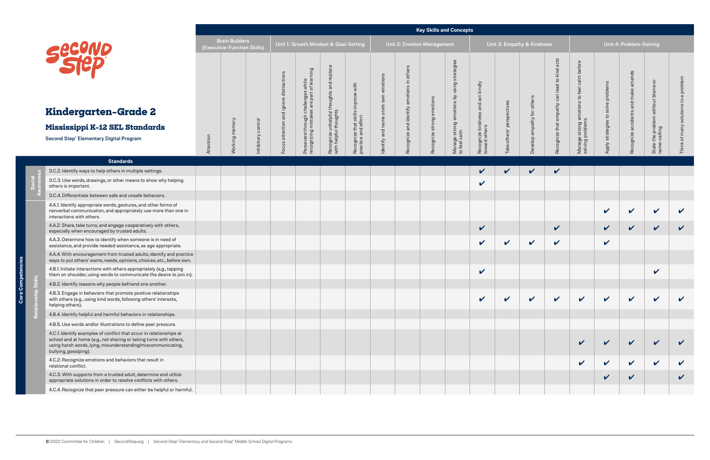**Core Competencies**

Comp ் உ ុទី

**Social Awareness**

**Relationship Skills**

 $\overline{R}$ 

|                                                                                                                                                                                                                                    |           |                                                      |                    |                                  |                                                                                 |                                                                      |                                                              |                                                  |                                            |                           | <b>Key Skills and Concepts</b>                                |                                                             |                            |                            |                                                                    |                                                                                          |                                    |                                              |                                                |              |
|------------------------------------------------------------------------------------------------------------------------------------------------------------------------------------------------------------------------------------|-----------|------------------------------------------------------|--------------------|----------------------------------|---------------------------------------------------------------------------------|----------------------------------------------------------------------|--------------------------------------------------------------|--------------------------------------------------|--------------------------------------------|---------------------------|---------------------------------------------------------------|-------------------------------------------------------------|----------------------------|----------------------------|--------------------------------------------------------------------|------------------------------------------------------------------------------------------|------------------------------------|----------------------------------------------|------------------------------------------------|--------------|
|                                                                                                                                                                                                                                    |           | <b>Brain Builders</b><br>(Executive-Function Skills) |                    |                                  | Unit 1: Growth Mindset & Goal-Setting                                           |                                                                      |                                                              |                                                  | Unit 2: Emotion Management                 |                           |                                                               |                                                             | Unit 3: Empathy & Kindness |                            |                                                                    |                                                                                          |                                    | Unit 4: Problem-Solving                      |                                                |              |
| Secund<br>Kindergarten-Grade 2<br>Mississippi K-12 SEL Standards                                                                                                                                                                   |           | <b>Norking</b> memory                                | Inhibitory control | ction<br>ㅎ<br>ndign<br>attention | Persevere through challenges while<br>recognizing mistakes are part of learning | replace<br>Recognize unhelpful thoughts and<br>with helpful thoughts | improve with<br>Recognize that skills<br>practice and effort | emotions<br>own<br>one's<br>$\Phi$<br>nam<br>and | others<br>$\equiv$<br>emotions<br>identify | Recognize strong emotions | using strategies<br>Manage strong emotions by<br>to feel calm | kindly<br>act<br>and<br>Recognize kindness<br>toward others | perspectives<br>others'    | others<br>elop empathy for | acts<br>kind a<br>$\mathbf{c}_1$<br>lead<br>can<br>empathy<br>that | calm before<br>feel<br>$\mathsf{c}_1$<br>otions<br>Manage strong emo<br>solving problems | problems<br>solve<br>strategies to | amends<br>make<br>and<br>Recognize accidents | ੋ<br>without blame<br>the problem v.<br>alling | problem      |
| Second Step® Elementary Digital Program                                                                                                                                                                                            | Attention |                                                      |                    | ທ<br>Focu                        |                                                                                 |                                                                      |                                                              | Identify                                         | Recognize and                              |                           |                                                               |                                                             | Take                       | Dev                        | Recognize                                                          |                                                                                          | Apply                              |                                              | State<br>name-                                 |              |
| <b>Standards</b>                                                                                                                                                                                                                   |           |                                                      |                    |                                  |                                                                                 |                                                                      |                                                              |                                                  |                                            |                           |                                                               |                                                             |                            |                            |                                                                    |                                                                                          |                                    |                                              |                                                |              |
| 3.C.2. Identify ways to help others in multiple settings.                                                                                                                                                                          |           |                                                      |                    |                                  |                                                                                 |                                                                      |                                                              |                                                  |                                            |                           |                                                               | $\checkmark$                                                | V                          | $\boldsymbol{\mathcal{U}}$ | $\mathbf v$                                                        |                                                                                          |                                    |                                              |                                                |              |
| 3.C.3. Use words, drawings, or other means to show why helping<br>others is important.                                                                                                                                             |           |                                                      |                    |                                  |                                                                                 |                                                                      |                                                              |                                                  |                                            |                           |                                                               | $\checkmark$                                                |                            |                            |                                                                    |                                                                                          |                                    |                                              |                                                |              |
| 3.C.4. Differentiate between safe and unsafe behaviors.                                                                                                                                                                            |           |                                                      |                    |                                  |                                                                                 |                                                                      |                                                              |                                                  |                                            |                           |                                                               |                                                             |                            |                            |                                                                    |                                                                                          |                                    |                                              |                                                |              |
| 4.A.1. Identify appropriate words, gestures, and other forms of<br>nonverbal communication, and appropriately use more than one in<br>interactions with others.                                                                    |           |                                                      |                    |                                  |                                                                                 |                                                                      |                                                              |                                                  |                                            |                           |                                                               |                                                             |                            |                            |                                                                    |                                                                                          | $\checkmark$                       | $\boldsymbol{\mathcal{U}}$                   | $\checkmark$                                   | $\mathbf v$  |
| 4.A.2. Share, take turns, and engage cooperatively with others,<br>especially when encouraged by trusted adults.                                                                                                                   |           |                                                      |                    |                                  |                                                                                 |                                                                      |                                                              |                                                  |                                            |                           |                                                               | $\checkmark$                                                |                            |                            | V                                                                  |                                                                                          | $\checkmark$                       | $\checkmark$                                 | $\checkmark$                                   | $\checkmark$ |
| 4.A.3. Determine how to identify when someone is in need of<br>assistance, and provide needed assistance, as age appropriate.                                                                                                      |           |                                                      |                    |                                  |                                                                                 |                                                                      |                                                              |                                                  |                                            |                           |                                                               | $\checkmark$                                                | V                          | $\mathbf v$                | $\checkmark$                                                       |                                                                                          | $\checkmark$                       |                                              |                                                |              |
| 4.A.4. With encouragement from trusted adults, identify and practice<br>ways to put others' wants, needs, opinions, choices, etc., before own.                                                                                     |           |                                                      |                    |                                  |                                                                                 |                                                                      |                                                              |                                                  |                                            |                           |                                                               |                                                             |                            |                            |                                                                    |                                                                                          |                                    |                                              |                                                |              |
| 4.B.1. Initiate interactions with others appropriately (e.g., tapping<br>them on shoulder, using words to communicate the desire to join in).                                                                                      |           |                                                      |                    |                                  |                                                                                 |                                                                      |                                                              |                                                  |                                            |                           |                                                               | $\checkmark$                                                |                            |                            |                                                                    |                                                                                          |                                    |                                              | $\checkmark$                                   |              |
| 4.B.2. Identify reasons why people befriend one another.                                                                                                                                                                           |           |                                                      |                    |                                  |                                                                                 |                                                                      |                                                              |                                                  |                                            |                           |                                                               |                                                             |                            |                            |                                                                    |                                                                                          |                                    |                                              |                                                |              |
| 4.B.3. Engage in behaviors that promote positive relationships<br>with others (e.g., using kind words, following others' interests,<br>helping others).                                                                            |           |                                                      |                    |                                  |                                                                                 |                                                                      |                                                              |                                                  |                                            |                           |                                                               | V                                                           |                            |                            |                                                                    |                                                                                          | V                                  | $\boldsymbol{\nu}$                           | V                                              |              |
| 4.B.4. Identify helpful and harmful behaviors in relationships.                                                                                                                                                                    |           |                                                      |                    |                                  |                                                                                 |                                                                      |                                                              |                                                  |                                            |                           |                                                               |                                                             |                            |                            |                                                                    |                                                                                          |                                    |                                              |                                                |              |
| 4.B.5. Use words and/or illustrations to define peer pressure.                                                                                                                                                                     |           |                                                      |                    |                                  |                                                                                 |                                                                      |                                                              |                                                  |                                            |                           |                                                               |                                                             |                            |                            |                                                                    |                                                                                          |                                    |                                              |                                                |              |
| 4.C.1. Identify examples of conflict that occur in relationships at<br>school and at home (e.g., not sharing or taking turns with others,<br>using harsh words, lying, misunderstanding/miscommunicating,<br>bullying, gossiping). |           |                                                      |                    |                                  |                                                                                 |                                                                      |                                                              |                                                  |                                            |                           |                                                               |                                                             |                            |                            |                                                                    | $\boldsymbol{\mathcal{U}}$                                                               | V                                  | $\boldsymbol{\mathcal{U}}$                   | $\checkmark$                                   |              |
| 4.C.2. Recognize emotions and behaviors that result in<br>relational conflict.                                                                                                                                                     |           |                                                      |                    |                                  |                                                                                 |                                                                      |                                                              |                                                  |                                            |                           |                                                               |                                                             |                            |                            |                                                                    | $\checkmark$                                                                             | $\checkmark$                       | $\checkmark$                                 | $\checkmark$                                   |              |
| 4.C.3. With supports from a trusted adult, determine and utilize<br>appropriate solutions in order to resolve conflicts with others.                                                                                               |           |                                                      |                    |                                  |                                                                                 |                                                                      |                                                              |                                                  |                                            |                           |                                                               |                                                             |                            |                            |                                                                    |                                                                                          | V                                  | $\checkmark$                                 |                                                | $\checkmark$ |
| 4.C.4. Recognize that peer pressure can either be helpful or harmful.                                                                                                                                                              |           |                                                      |                    |                                  |                                                                                 |                                                                      |                                                              |                                                  |                                            |                           |                                                               |                                                             |                            |                            |                                                                    |                                                                                          |                                    |                                              |                                                |              |



## **Kindergar**

### **Mississippi K**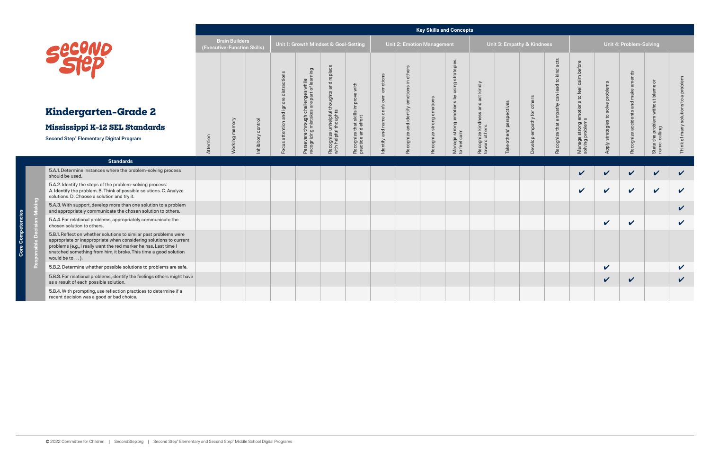**Responsible Decision-Making**

 $\Delta$ 

|                                                                                                                                                                                                                                                                                                   |           |                                                      |                    |              |                                                                                 |                                                       |                                                           |              |                                              | <b>Key Skills and Concepts</b> |                                                            |                                     |                            |                     |                                               |                                                                   |                            |                         |                                                           |              |
|---------------------------------------------------------------------------------------------------------------------------------------------------------------------------------------------------------------------------------------------------------------------------------------------------|-----------|------------------------------------------------------|--------------------|--------------|---------------------------------------------------------------------------------|-------------------------------------------------------|-----------------------------------------------------------|--------------|----------------------------------------------|--------------------------------|------------------------------------------------------------|-------------------------------------|----------------------------|---------------------|-----------------------------------------------|-------------------------------------------------------------------|----------------------------|-------------------------|-----------------------------------------------------------|--------------|
|                                                                                                                                                                                                                                                                                                   |           | <b>Brain Builders</b><br>(Executive-Function Skills) |                    |              | Unit 1: Growth Mindset & Goal-Setting                                           |                                                       |                                                           |              |                                              | Unit 2: Emotion Management     |                                                            |                                     | Unit 3: Empathy & Kindness |                     |                                               |                                                                   |                            | Unit 4: Problem-Solving |                                                           |              |
| Second                                                                                                                                                                                                                                                                                            |           |                                                      |                    | distractions | Persevere through challenges while<br>recognizing mistakes are part of learning | and replace                                           | Recognize that skills improve with<br>practice and effort | own emotions | others<br>Recognize and identify emotions in |                                | Manage strong emotions by using strategies<br>to feel calm | and act kindly                      |                            | others              | acts<br>kind<br>$\mathtt{c}_1$<br>lead<br>can | calm before<br>Manage strong emotions to feel<br>solving problems | problems<br>solve          | amends<br>make          | $\overleftarrow{\sigma}$<br>problem without blame<br>ling | problem      |
| Kindergarten-Grade 2                                                                                                                                                                                                                                                                              |           |                                                      |                    | and ignore   |                                                                                 |                                                       |                                                           | one's        |                                              |                                |                                                            |                                     | perspectives               |                     | empathy                                       |                                                                   |                            | accidents and           |                                                           |              |
| Mississippi K-12 SEL Standards                                                                                                                                                                                                                                                                    |           |                                                      |                    | attention    |                                                                                 |                                                       |                                                           | name<br>and  |                                              |                                |                                                            |                                     |                            |                     |                                               |                                                                   | strategies to              |                         |                                                           | many         |
| Second Step® Elementary Digital Program                                                                                                                                                                                                                                                           | Attention | Working memory                                       | Inhibitory control | ocus         |                                                                                 | Recognize unhelpful thoughts<br>with helpful thoughts |                                                           | ldentify     |                                              | Recognize strong emotions      |                                                            | Recognize kindness<br>toward others | others'<br><b>Take</b>     | Develop empathy for | Recognize that                                |                                                                   | Apply                      | Recognize               | State the p<br>name-calli                                 | ৳            |
| <b>Standards</b>                                                                                                                                                                                                                                                                                  |           |                                                      |                    |              |                                                                                 |                                                       |                                                           |              |                                              |                                |                                                            |                                     |                            |                     |                                               |                                                                   |                            |                         |                                                           |              |
| 5.A.1. Determine instances where the problem-solving process<br>should be used.                                                                                                                                                                                                                   |           |                                                      |                    |              |                                                                                 |                                                       |                                                           |              |                                              |                                |                                                            |                                     |                            |                     |                                               | V                                                                 | $\checkmark$               | $\checkmark$            | $\checkmark$                                              | $\checkmark$ |
| 5.A.2. Identify the steps of the problem-solving process:<br>A. Identify the problem. B. Think of possible solutions. C. Analyze<br>solutions. D. Choose a solution and try it.                                                                                                                   |           |                                                      |                    |              |                                                                                 |                                                       |                                                           |              |                                              |                                |                                                            |                                     |                            |                     |                                               | $\boldsymbol{\mathcal{U}}$                                        | $\checkmark$               | $\checkmark$            | $\checkmark$                                              | $\checkmark$ |
| 5.A.3. With support, develop more than one solution to a problem<br>and appropriately communicate the chosen solution to others.                                                                                                                                                                  |           |                                                      |                    |              |                                                                                 |                                                       |                                                           |              |                                              |                                |                                                            |                                     |                            |                     |                                               |                                                                   |                            |                         |                                                           | $\checkmark$ |
| 5.A.4. For relational problems, appropriately communicate the<br>chosen solution to others.                                                                                                                                                                                                       |           |                                                      |                    |              |                                                                                 |                                                       |                                                           |              |                                              |                                |                                                            |                                     |                            |                     |                                               |                                                                   | $\boldsymbol{\mathcal{U}}$ | $\checkmark$            |                                                           | $\checkmark$ |
| 5.B.1. Reflect on whether solutions to similar past problems were<br>appropriate or inappropriate when considering solutions to current<br>problems (e.g., I really want the red marker he has. Last time I<br>snatched something from him, it broke. This time a good solution<br>would be to ). |           |                                                      |                    |              |                                                                                 |                                                       |                                                           |              |                                              |                                |                                                            |                                     |                            |                     |                                               |                                                                   |                            |                         |                                                           |              |
| 5.B.2. Determine whether possible solutions to problems are safe.                                                                                                                                                                                                                                 |           |                                                      |                    |              |                                                                                 |                                                       |                                                           |              |                                              |                                |                                                            |                                     |                            |                     |                                               |                                                                   | $\boldsymbol{\mathcal{U}}$ |                         |                                                           | $\checkmark$ |
| 5.B.3. For relational problems, identify the feelings others might have<br>as a result of each possible solution.                                                                                                                                                                                 |           |                                                      |                    |              |                                                                                 |                                                       |                                                           |              |                                              |                                |                                                            |                                     |                            |                     |                                               |                                                                   | V                          | $\checkmark$            |                                                           | $\checkmark$ |
| 5.B.4. With prompting, use reflection practices to determine if a<br>recent decision was a good or bad choice.                                                                                                                                                                                    |           |                                                      |                    |              |                                                                                 |                                                       |                                                           |              |                                              |                                |                                                            |                                     |                            |                     |                                               |                                                                   |                            |                         |                                                           |              |



## **Kindergart**

### **Mississippi K-**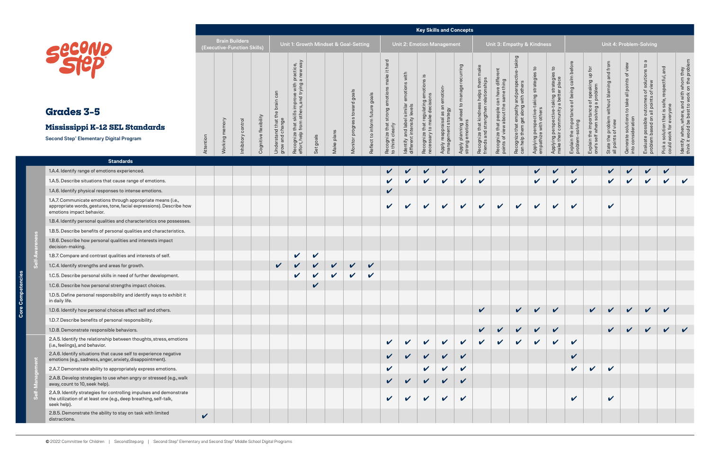**Core Competencies**

Core Competencies

|                                                                                                                                                                   |              | <b>Brain Builders</b><br>(Executive-Function Skills) |                    |                       |                                       |                                                                                                                                                 |                            |              | Unit 1: Growth Mindset & Goal-Setting |                                |                                                                                       |                                                                                          |                                                                       | Unit 2: Emotion Management                              |                                                                      |                                                                                    |                                                                                                         |                                                                                               | Unit 3: Empathy & Kindness                                                          |                                                                                                |                                                                  |                                                                                |                                                                  |                                                                     | Unit 4: Problem-Solving                                                                       |                                                                                                                |                                                                                           |
|-------------------------------------------------------------------------------------------------------------------------------------------------------------------|--------------|------------------------------------------------------|--------------------|-----------------------|---------------------------------------|-------------------------------------------------------------------------------------------------------------------------------------------------|----------------------------|--------------|---------------------------------------|--------------------------------|---------------------------------------------------------------------------------------|------------------------------------------------------------------------------------------|-----------------------------------------------------------------------|---------------------------------------------------------|----------------------------------------------------------------------|------------------------------------------------------------------------------------|---------------------------------------------------------------------------------------------------------|-----------------------------------------------------------------------------------------------|-------------------------------------------------------------------------------------|------------------------------------------------------------------------------------------------|------------------------------------------------------------------|--------------------------------------------------------------------------------|------------------------------------------------------------------|---------------------------------------------------------------------|-----------------------------------------------------------------------------------------------|----------------------------------------------------------------------------------------------------------------|-------------------------------------------------------------------------------------------|
| <b>Grades 3-5</b><br>Mississippi K-12 SEL Standards<br><b>Second Step® Elementary Digital Program</b>                                                             | Attention    | <b>Norking</b> memory                                | Inhibitory control | Cognitive flexibility | Understand that tl<br>grow and change | i practice,<br>a new way<br>improve with <b>p</b><br>rrs, and trying a<br>skills<br>other<br>꽁<br>from<br>that<br>Recognize t<br>effort, help 1 | Set goals                  | Make plans   | Monitor progress toward goals         | Reflect to inform future goals | it hard<br>make<br>$\omega$<br>strong emotion<br>Recognize that s<br>to think clearly | with<br>emotions<br>similar<br>levels<br>Identify and label si<br>different intensity li | emotions is<br>Recognize that regulating<br>necessary to make decisio | Apply reappraisal as an emotion-<br>management strategy | recurring<br>ahead to manage<br>Apply planning ah<br>strong emotions | make<br>Recognize that kindness helps them<br>friends and strengthen relationships | ent<br>differ<br>can have diffe<br>le same thing<br>Recognize that people c<br>points of view about the | e-taking<br>and perspec<br>  with others<br>Recognize that empathy<br>can help them get along | $\mathbf{c}$<br>ဖ<br>Applying perspective-taking strategie<br>empathize with others | °1<br>$\omega$<br>Applying perspective-taking strategie<br>make their community a better place | of being calm<br>ortance<br>Explain the impor<br>problem-solving | Explain the importance of speaking up for<br>one's self when solving a problem | State the problem without blaming and from<br>all points of view | Generate solutions to take all points of view<br>into consideration | $\sigma$<br>Evaluate possible outcomes of solutions to<br>problem based on all points of view | and<br>safe, respectful,<br>everyone<br>$\overline{\omega}$<br>Pick a solution that is<br>could work for every | ldentify when, where, and with whom they<br>think it would be best to work on the problem |
|                                                                                                                                                                   |              |                                                      |                    |                       |                                       |                                                                                                                                                 |                            |              |                                       |                                |                                                                                       |                                                                                          |                                                                       |                                                         |                                                                      |                                                                                    |                                                                                                         |                                                                                               |                                                                                     |                                                                                                |                                                                  |                                                                                |                                                                  |                                                                     |                                                                                               |                                                                                                                |                                                                                           |
| <b>Standards</b>                                                                                                                                                  |              |                                                      |                    |                       |                                       |                                                                                                                                                 |                            |              |                                       |                                |                                                                                       |                                                                                          |                                                                       |                                                         |                                                                      |                                                                                    |                                                                                                         |                                                                                               |                                                                                     |                                                                                                |                                                                  |                                                                                |                                                                  |                                                                     |                                                                                               |                                                                                                                |                                                                                           |
| 1.A.4. Identify range of emotions experienced.                                                                                                                    |              |                                                      |                    |                       |                                       |                                                                                                                                                 |                            |              |                                       |                                |                                                                                       |                                                                                          |                                                                       | $\boldsymbol{\mathcal{U}}$                              |                                                                      | $\mathbf v$                                                                        |                                                                                                         |                                                                                               | $\checkmark$                                                                        | $\checkmark$                                                                                   | $\checkmark$                                                     |                                                                                |                                                                  |                                                                     |                                                                                               | $\checkmark$                                                                                                   |                                                                                           |
| 1.A.5. Describe situations that cause range of emotions.                                                                                                          |              |                                                      |                    |                       |                                       |                                                                                                                                                 |                            |              |                                       |                                |                                                                                       | $\mathbf{v}$                                                                             | $\checkmark$                                                          | $\mathbf v$                                             | $\checkmark$                                                         | $\checkmark$                                                                       |                                                                                                         |                                                                                               | $\checkmark$                                                                        | $\checkmark$                                                                                   | $\checkmark$                                                     |                                                                                | $\mathbf{v}$                                                     | $\mathbf v$                                                         | $\checkmark$                                                                                  | $\checkmark$                                                                                                   | $\mathbf v$                                                                               |
| 1.A.6. Identify physical responses to intense emotions.                                                                                                           |              |                                                      |                    |                       |                                       |                                                                                                                                                 |                            |              |                                       |                                | $\checkmark$                                                                          |                                                                                          |                                                                       |                                                         |                                                                      |                                                                                    |                                                                                                         |                                                                                               |                                                                                     |                                                                                                |                                                                  |                                                                                |                                                                  |                                                                     |                                                                                               |                                                                                                                |                                                                                           |
| 1.A.7. Communicate emotions through appropriate means (i.e.,<br>appropriate words, gestures, tone, facial expressions). Describe how<br>emotions impact behavior. |              |                                                      |                    |                       |                                       |                                                                                                                                                 |                            |              |                                       |                                | $\mathbf v$                                                                           | $\mathbf v$                                                                              | $\checkmark$                                                          | $\checkmark$                                            | $\checkmark$                                                         | $\checkmark$                                                                       | $\boldsymbol{\mathcal{U}}$                                                                              | V                                                                                             | $\boldsymbol{\nu}$                                                                  | V                                                                                              | $\checkmark$                                                     |                                                                                | $\checkmark$                                                     |                                                                     |                                                                                               |                                                                                                                |                                                                                           |
| 1.B.4. Identify personal qualities and characteristics one possesses.                                                                                             |              |                                                      |                    |                       |                                       |                                                                                                                                                 |                            |              |                                       |                                |                                                                                       |                                                                                          |                                                                       |                                                         |                                                                      |                                                                                    |                                                                                                         |                                                                                               |                                                                                     |                                                                                                |                                                                  |                                                                                |                                                                  |                                                                     |                                                                                               |                                                                                                                |                                                                                           |
| 1.B.5. Describe benefits of personal qualities and characteristics.                                                                                               |              |                                                      |                    |                       |                                       |                                                                                                                                                 |                            |              |                                       |                                |                                                                                       |                                                                                          |                                                                       |                                                         |                                                                      |                                                                                    |                                                                                                         |                                                                                               |                                                                                     |                                                                                                |                                                                  |                                                                                |                                                                  |                                                                     |                                                                                               |                                                                                                                |                                                                                           |
| 1.B.6. Describe how personal qualities and interests impact<br>decision-making.                                                                                   |              |                                                      |                    |                       |                                       |                                                                                                                                                 |                            |              |                                       |                                |                                                                                       |                                                                                          |                                                                       |                                                         |                                                                      |                                                                                    |                                                                                                         |                                                                                               |                                                                                     |                                                                                                |                                                                  |                                                                                |                                                                  |                                                                     |                                                                                               |                                                                                                                |                                                                                           |
| 1.B.7. Compare and contrast qualities and interests of self.                                                                                                      |              |                                                      |                    |                       |                                       | $\checkmark$                                                                                                                                    | $\boldsymbol{\mathcal{U}}$ |              |                                       |                                |                                                                                       |                                                                                          |                                                                       |                                                         |                                                                      |                                                                                    |                                                                                                         |                                                                                               |                                                                                     |                                                                                                |                                                                  |                                                                                |                                                                  |                                                                     |                                                                                               |                                                                                                                |                                                                                           |
| 1.C.4. Identify strengths and areas for growth.                                                                                                                   |              |                                                      |                    |                       | $\checkmark$                          | $\checkmark$                                                                                                                                    |                            | $\checkmark$ | $\sqrt{2}$                            | $\checkmark$                   |                                                                                       |                                                                                          |                                                                       |                                                         |                                                                      |                                                                                    |                                                                                                         |                                                                                               |                                                                                     |                                                                                                |                                                                  |                                                                                |                                                                  |                                                                     |                                                                                               |                                                                                                                |                                                                                           |
| 1.C.5. Describe personal skills in need of further development.                                                                                                   |              |                                                      |                    |                       |                                       | $\checkmark$                                                                                                                                    | V                          | $\checkmark$ | $\checkmark$                          | $\checkmark$                   |                                                                                       |                                                                                          |                                                                       |                                                         |                                                                      |                                                                                    |                                                                                                         |                                                                                               |                                                                                     |                                                                                                |                                                                  |                                                                                |                                                                  |                                                                     |                                                                                               |                                                                                                                |                                                                                           |
| 1.C.6. Describe how personal strengths impact choices.                                                                                                            |              |                                                      |                    |                       |                                       |                                                                                                                                                 | V                          |              |                                       |                                |                                                                                       |                                                                                          |                                                                       |                                                         |                                                                      |                                                                                    |                                                                                                         |                                                                                               |                                                                                     |                                                                                                |                                                                  |                                                                                |                                                                  |                                                                     |                                                                                               |                                                                                                                |                                                                                           |
| 1.D.5. Define personal responsibility and identify ways to exhibit it<br>in daily life.                                                                           |              |                                                      |                    |                       |                                       |                                                                                                                                                 |                            |              |                                       |                                |                                                                                       |                                                                                          |                                                                       |                                                         |                                                                      |                                                                                    |                                                                                                         |                                                                                               |                                                                                     |                                                                                                |                                                                  |                                                                                |                                                                  |                                                                     |                                                                                               |                                                                                                                |                                                                                           |
| 1.D.6. Identify how personal choices affect self and others.                                                                                                      |              |                                                      |                    |                       |                                       |                                                                                                                                                 |                            |              |                                       |                                |                                                                                       |                                                                                          |                                                                       |                                                         |                                                                      | V                                                                                  |                                                                                                         | $\mathbf{v}$                                                                                  | $\boldsymbol{\nu}$                                                                  | $\boldsymbol{\nu}$                                                                             |                                                                  | $\mathbf{v}$                                                                   | $\boldsymbol{\nu}$                                               |                                                                     |                                                                                               |                                                                                                                |                                                                                           |
| 1.D.7. Describe benefits of personal responsibility.                                                                                                              |              |                                                      |                    |                       |                                       |                                                                                                                                                 |                            |              |                                       |                                |                                                                                       |                                                                                          |                                                                       |                                                         |                                                                      |                                                                                    |                                                                                                         |                                                                                               |                                                                                     |                                                                                                |                                                                  |                                                                                |                                                                  |                                                                     |                                                                                               |                                                                                                                |                                                                                           |
| 1.D.8. Demonstrate responsible behaviors.                                                                                                                         |              |                                                      |                    |                       |                                       |                                                                                                                                                 |                            |              |                                       |                                |                                                                                       |                                                                                          |                                                                       |                                                         |                                                                      | $\checkmark$                                                                       |                                                                                                         | V                                                                                             | $\checkmark$                                                                        | $\checkmark$                                                                                   |                                                                  |                                                                                | $\mathbf v$                                                      | $\boldsymbol{\nu}$                                                  | $\boldsymbol{\mathcal{U}}$                                                                    | $\mathbf{v}$                                                                                                   | $\mathbf{v}$                                                                              |
| 2.A.5. Identify the relationship between thoughts, stress, emotions<br>(i.e., feelings), and behavior.                                                            |              |                                                      |                    |                       |                                       |                                                                                                                                                 |                            |              |                                       |                                |                                                                                       | $\boldsymbol{\mathcal{U}}$                                                               | $\checkmark$                                                          | $\checkmark$                                            | $\checkmark$                                                         | V                                                                                  |                                                                                                         |                                                                                               | $\boldsymbol{\mathcal{U}}$                                                          | $\mathbf v$                                                                                    | $\checkmark$                                                     |                                                                                |                                                                  |                                                                     |                                                                                               |                                                                                                                |                                                                                           |
| 2.A.6. Identify situations that cause self to experience negative<br>emotions (e.g., sadness, anger, anxiety, disappointment).                                    |              |                                                      |                    |                       |                                       |                                                                                                                                                 |                            |              |                                       |                                |                                                                                       |                                                                                          |                                                                       |                                                         |                                                                      |                                                                                    |                                                                                                         |                                                                                               |                                                                                     |                                                                                                | V                                                                |                                                                                |                                                                  |                                                                     |                                                                                               |                                                                                                                |                                                                                           |
| 2.A.7. Demonstrate ability to appropriately express emotions.                                                                                                     |              |                                                      |                    |                       |                                       |                                                                                                                                                 |                            |              |                                       |                                | $\mathbf v$                                                                           |                                                                                          | $\checkmark$                                                          |                                                         | $\boldsymbol{\nu}$                                                   |                                                                                    |                                                                                                         |                                                                                               |                                                                                     |                                                                                                | $\checkmark$                                                     | $\mathbf v$                                                                    | $\boldsymbol{\nu}$                                               |                                                                     |                                                                                               |                                                                                                                |                                                                                           |
| 2.A.8. Develop strategies to use when angry or stressed (e.g., walk<br>away, count to 10, seek help).                                                             |              |                                                      |                    |                       |                                       |                                                                                                                                                 |                            |              |                                       |                                |                                                                                       |                                                                                          | $\checkmark$                                                          | $\mathbf{v}$                                            | $\boldsymbol{\mathcal{U}}$                                           |                                                                                    |                                                                                                         |                                                                                               |                                                                                     |                                                                                                |                                                                  |                                                                                |                                                                  |                                                                     |                                                                                               |                                                                                                                |                                                                                           |
| 2.A.9. Identify strategies for controlling impulses and demonstrate<br>the utilization of at least one (e.g., deep breathing, self-talk,<br>seek help).           |              |                                                      |                    |                       |                                       |                                                                                                                                                 |                            |              |                                       |                                |                                                                                       |                                                                                          | $\checkmark$                                                          | $\boldsymbol{\nu}$                                      | $\boldsymbol{\mathcal{U}}$                                           |                                                                                    |                                                                                                         |                                                                                               |                                                                                     |                                                                                                | $\mathbf v$                                                      |                                                                                | V                                                                |                                                                     |                                                                                               |                                                                                                                |                                                                                           |
| 2.B.5. Demonstrate the ability to stay on task with limited<br>distractions.                                                                                      | $\checkmark$ |                                                      |                    |                       |                                       |                                                                                                                                                 |                            |              |                                       |                                |                                                                                       |                                                                                          |                                                                       |                                                         |                                                                      |                                                                                    |                                                                                                         |                                                                                               |                                                                                     |                                                                                                |                                                                  |                                                                                |                                                                  |                                                                     |                                                                                               |                                                                                                                |                                                                                           |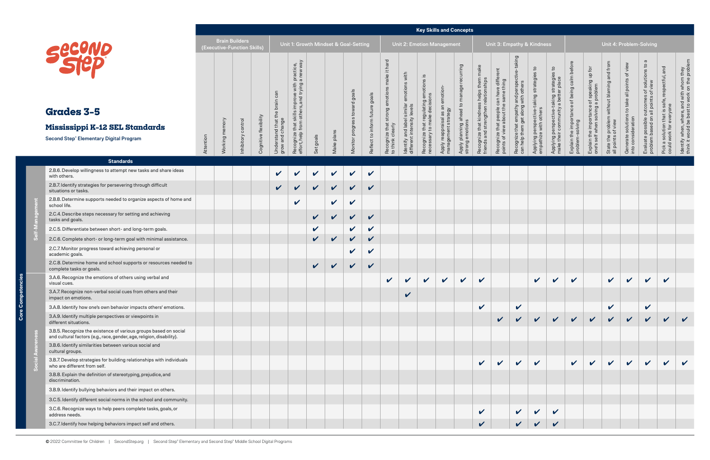**Core Competencies**

**Core Competencies** 

|                                                                                                                                           |           | <b>Brain Builders</b><br>(Executive-Function Skills) |                    |                       |                                       |                                                                                                                                                                                                                                                                                                                              |                            |              | Unit 1: Growth Mindset & Goal-Setting |                                |                                                                                   |                                                                                                                        |                                                                                                  | Unit 2: Emotion Management                                                     |                                                                                            |                                                                                        |                                                                                                           |                                                                                                | Unit 3: Empathy & Kindness                                                    |                                                                                               |                                                                                                                         |                                                                                                                        |                                                                  |                                                                             | Unit 4: Problem-Solving                                                                                |                                                                                     |                                                                                           |
|-------------------------------------------------------------------------------------------------------------------------------------------|-----------|------------------------------------------------------|--------------------|-----------------------|---------------------------------------|------------------------------------------------------------------------------------------------------------------------------------------------------------------------------------------------------------------------------------------------------------------------------------------------------------------------------|----------------------------|--------------|---------------------------------------|--------------------------------|-----------------------------------------------------------------------------------|------------------------------------------------------------------------------------------------------------------------|--------------------------------------------------------------------------------------------------|--------------------------------------------------------------------------------|--------------------------------------------------------------------------------------------|----------------------------------------------------------------------------------------|-----------------------------------------------------------------------------------------------------------|------------------------------------------------------------------------------------------------|-------------------------------------------------------------------------------|-----------------------------------------------------------------------------------------------|-------------------------------------------------------------------------------------------------------------------------|------------------------------------------------------------------------------------------------------------------------|------------------------------------------------------------------|-----------------------------------------------------------------------------|--------------------------------------------------------------------------------------------------------|-------------------------------------------------------------------------------------|-------------------------------------------------------------------------------------------|
| <b>Grades 3-5</b><br>Mississippi K-12 SEL Standards<br><b>Second Step® Elementary Digital Program</b>                                     | Attention | Working memory                                       | Inhibitory control | Cognitive flexibility | Understand that tl<br>grow and change | practice,<br>a new way<br>prove with prove with prove that the set of the set of the set of the set of the set of the set of the set of the set of the set of the set of the set of the set of the set of the set of the set of the set of the set of th<br><b>SC</b><br>to<br>꼯<br>Recognize that sl<br>effort, help from ‹ | goals<br>Set               | Make plans   | s toward goals<br>Monitor progres     | Reflect to inform future goals | hard<br>$\pm$<br>ake<br>emotion<br>strong<br>Recognize that s<br>to think clearly | with<br>ons<br>ō<br>em<br>$\frac{1}{\overline{p}}$<br>level<br>simila<br>Identify and label s<br>different intensity l | .≌<br>emotions<br>ഗ<br>regulating<br>nake decisio<br>that<br>to ma<br>Recognize t<br>necessary t | emotion-<br>$\Xi$<br>strategy<br>as<br>Apply reappraisal a<br>management strat | puin<br>recur<br>manage<br>$\mathsf{c}_1$<br>ahead<br>Apply planning ah<br>strong emotions | ss helps them i<br>i relationships<br>Recognize that kindnes<br>friends and strengthen | diffe<br>thing<br>have<br>me<br>can<br><b>IBS</b><br>Recognize that people ca<br>points of view about the | taking<br>perspe<br>others<br>and<br>with<br>Recognize that empathy<br>can help them get along | $\mathbf{S}$<br>Applying perspective-taking strategi<br>empathize with others | °.<br>-taking strategie<br>y a better place<br>Applying perspective-t<br>make their community | ō<br>$\subset$<br>$\overline{a}$<br>being<br>$\overline{\sigma}$<br>$\omega$<br>Explain the importan<br>problem-solving | $\frac{1}{2}$<br>e of speaking up for the problem.<br>I a problem<br>Explain the importance<br>one's self when solving | State the problem without blaming and from<br>all points of view | Generate solutions to take all points of view<br>into consideration<br>into | $\sigma$<br>ile outcomes of solutions to<br>on all points of view<br>possible<br>Evaluate<br>problem l | and<br>pectful,<br>safe,<br>everyone<br>that<br>Pick a solution<br>could work for e | ldentify when, where, and with whom they<br>think it would be best to work on the problem |
| <b>Standards</b>                                                                                                                          |           |                                                      |                    |                       |                                       |                                                                                                                                                                                                                                                                                                                              |                            |              |                                       |                                |                                                                                   |                                                                                                                        |                                                                                                  |                                                                                |                                                                                            |                                                                                        |                                                                                                           |                                                                                                |                                                                               |                                                                                               |                                                                                                                         |                                                                                                                        |                                                                  |                                                                             |                                                                                                        |                                                                                     |                                                                                           |
| 2.B.6. Develop willingness to attempt new tasks and share ideas<br>with others.                                                           |           |                                                      |                    |                       | $\checkmark$                          | $\boldsymbol{\mathcal{U}}$                                                                                                                                                                                                                                                                                                   | V                          | $\checkmark$ | $\boldsymbol{\mathcal{U}}$            | $\boldsymbol{\mathcal{U}}$     |                                                                                   |                                                                                                                        |                                                                                                  |                                                                                |                                                                                            |                                                                                        |                                                                                                           |                                                                                                |                                                                               |                                                                                               |                                                                                                                         |                                                                                                                        |                                                                  |                                                                             |                                                                                                        |                                                                                     |                                                                                           |
| 2.B.7. Identify strategies for persevering through difficult<br>situations or tasks.                                                      |           |                                                      |                    |                       | $\checkmark$                          | $\mathbf v$                                                                                                                                                                                                                                                                                                                  | $\mathbf{v}$               | $\sqrt{2}$   | $\checkmark$                          | $\checkmark$                   |                                                                                   |                                                                                                                        |                                                                                                  |                                                                                |                                                                                            |                                                                                        |                                                                                                           |                                                                                                |                                                                               |                                                                                               |                                                                                                                         |                                                                                                                        |                                                                  |                                                                             |                                                                                                        |                                                                                     |                                                                                           |
| 2.B.8. Determine supports needed to organize aspects of home and<br>school life.                                                          |           |                                                      |                    |                       |                                       | $\boldsymbol{\mathcal{U}}$                                                                                                                                                                                                                                                                                                   |                            | $\checkmark$ | $\checkmark$                          |                                |                                                                                   |                                                                                                                        |                                                                                                  |                                                                                |                                                                                            |                                                                                        |                                                                                                           |                                                                                                |                                                                               |                                                                                               |                                                                                                                         |                                                                                                                        |                                                                  |                                                                             |                                                                                                        |                                                                                     |                                                                                           |
| 2.C.4. Describe steps necessary for setting and achieving<br>tasks and goals.                                                             |           |                                                      |                    |                       |                                       |                                                                                                                                                                                                                                                                                                                              | $\boldsymbol{\mathcal{U}}$ | $\mathbf{v}$ | $\mathbf{v}$                          | $\checkmark$                   |                                                                                   |                                                                                                                        |                                                                                                  |                                                                                |                                                                                            |                                                                                        |                                                                                                           |                                                                                                |                                                                               |                                                                                               |                                                                                                                         |                                                                                                                        |                                                                  |                                                                             |                                                                                                        |                                                                                     |                                                                                           |
| 2.C.5. Differentiate between short- and long-term goals.                                                                                  |           |                                                      |                    |                       |                                       |                                                                                                                                                                                                                                                                                                                              | $\checkmark$               |              | $\checkmark$                          | $\checkmark$                   |                                                                                   |                                                                                                                        |                                                                                                  |                                                                                |                                                                                            |                                                                                        |                                                                                                           |                                                                                                |                                                                               |                                                                                               |                                                                                                                         |                                                                                                                        |                                                                  |                                                                             |                                                                                                        |                                                                                     |                                                                                           |
| 2.C.6. Complete short- or long-term goal with minimal assistance.                                                                         |           |                                                      |                    |                       |                                       |                                                                                                                                                                                                                                                                                                                              | $\mathbf{v}$               | $\mathbf{v}$ | $\checkmark$                          | V                              |                                                                                   |                                                                                                                        |                                                                                                  |                                                                                |                                                                                            |                                                                                        |                                                                                                           |                                                                                                |                                                                               |                                                                                               |                                                                                                                         |                                                                                                                        |                                                                  |                                                                             |                                                                                                        |                                                                                     |                                                                                           |
| 2.C.7. Monitor progress toward achieving personal or<br>academic goals.                                                                   |           |                                                      |                    |                       |                                       |                                                                                                                                                                                                                                                                                                                              |                            |              | $\checkmark$                          | V                              |                                                                                   |                                                                                                                        |                                                                                                  |                                                                                |                                                                                            |                                                                                        |                                                                                                           |                                                                                                |                                                                               |                                                                                               |                                                                                                                         |                                                                                                                        |                                                                  |                                                                             |                                                                                                        |                                                                                     |                                                                                           |
| 2.C.8. Determine home and school supports or resources needed to<br>complete tasks or goals.                                              |           |                                                      |                    |                       |                                       |                                                                                                                                                                                                                                                                                                                              | $\sqrt{2}$                 | $\mathbf{v}$ | $\mathbf{v}$                          | $\checkmark$                   |                                                                                   |                                                                                                                        |                                                                                                  |                                                                                |                                                                                            |                                                                                        |                                                                                                           |                                                                                                |                                                                               |                                                                                               |                                                                                                                         |                                                                                                                        |                                                                  |                                                                             |                                                                                                        |                                                                                     |                                                                                           |
| 3.A.6. Recognize the emotions of others using verbal and<br>visual cues.                                                                  |           |                                                      |                    |                       |                                       |                                                                                                                                                                                                                                                                                                                              |                            |              |                                       |                                | $\checkmark$                                                                      | $\sqrt{2}$                                                                                                             | $\checkmark$                                                                                     | $\mathbf{v}$                                                                   | $\checkmark$                                                                               | $\checkmark$                                                                           |                                                                                                           |                                                                                                | $\mathbf{v}$                                                                  | $\checkmark$                                                                                  | $\checkmark$                                                                                                            |                                                                                                                        | $\checkmark$                                                     | $\checkmark$                                                                | $\checkmark$                                                                                           | $\checkmark$                                                                        |                                                                                           |
| 3.A.7. Recognize non-verbal social cues from others and their<br>impact on emotions.                                                      |           |                                                      |                    |                       |                                       |                                                                                                                                                                                                                                                                                                                              |                            |              |                                       |                                |                                                                                   | $\overline{\mathcal{L}}$                                                                                               |                                                                                                  |                                                                                |                                                                                            |                                                                                        |                                                                                                           |                                                                                                |                                                                               |                                                                                               |                                                                                                                         |                                                                                                                        |                                                                  |                                                                             |                                                                                                        |                                                                                     |                                                                                           |
| 3.A.8. Identify how one's own behavior impacts others' emotions.                                                                          |           |                                                      |                    |                       |                                       |                                                                                                                                                                                                                                                                                                                              |                            |              |                                       |                                |                                                                                   |                                                                                                                        |                                                                                                  |                                                                                |                                                                                            | $\checkmark$                                                                           |                                                                                                           | $\checkmark$                                                                                   |                                                                               |                                                                                               |                                                                                                                         |                                                                                                                        | $\mathbf v$                                                      |                                                                             | $\checkmark$                                                                                           |                                                                                     |                                                                                           |
| 3.A.9. Identify multiple perspectives or viewpoints in<br>different situations.                                                           |           |                                                      |                    |                       |                                       |                                                                                                                                                                                                                                                                                                                              |                            |              |                                       |                                |                                                                                   |                                                                                                                        |                                                                                                  |                                                                                |                                                                                            |                                                                                        |                                                                                                           | $\vee$                                                                                         | $\vee$                                                                        |                                                                                               | $\begin{array}{c c c c c} \hline \end{array}$                                                                           |                                                                                                                        |                                                                  | $\mathbf{v}$ $\mathbf{v}$                                                   | $\mathbf{v}$                                                                                           | $\mathbf{v}$                                                                        | $\mathbf{v}$                                                                              |
| 3.B.5. Recognize the existence of various groups based on social<br>and cultural factors (e.g., race, gender, age, religion, disability). |           |                                                      |                    |                       |                                       |                                                                                                                                                                                                                                                                                                                              |                            |              |                                       |                                |                                                                                   |                                                                                                                        |                                                                                                  |                                                                                |                                                                                            |                                                                                        |                                                                                                           |                                                                                                |                                                                               |                                                                                               |                                                                                                                         |                                                                                                                        |                                                                  |                                                                             |                                                                                                        |                                                                                     |                                                                                           |
| 3.B.6. Identify similarities between various social and<br>cultural groups.                                                               |           |                                                      |                    |                       |                                       |                                                                                                                                                                                                                                                                                                                              |                            |              |                                       |                                |                                                                                   |                                                                                                                        |                                                                                                  |                                                                                |                                                                                            |                                                                                        |                                                                                                           |                                                                                                |                                                                               |                                                                                               |                                                                                                                         |                                                                                                                        |                                                                  |                                                                             |                                                                                                        |                                                                                     |                                                                                           |
| 3.B.7. Develop strategies for building relationships with individuals<br>who are different from self.                                     |           |                                                      |                    |                       |                                       |                                                                                                                                                                                                                                                                                                                              |                            |              |                                       |                                |                                                                                   |                                                                                                                        |                                                                                                  |                                                                                |                                                                                            | $\mathbf{v}$                                                                           | V                                                                                                         |                                                                                                | $\checkmark$                                                                  |                                                                                               | $\checkmark$                                                                                                            | $\checkmark$                                                                                                           | $\checkmark$                                                     | $\checkmark$                                                                | $\mathbf v$                                                                                            | $\checkmark$                                                                        |                                                                                           |
| 3.B.8. Explain the definition of stereotyping, prejudice, and<br>discrimination.                                                          |           |                                                      |                    |                       |                                       |                                                                                                                                                                                                                                                                                                                              |                            |              |                                       |                                |                                                                                   |                                                                                                                        |                                                                                                  |                                                                                |                                                                                            |                                                                                        |                                                                                                           |                                                                                                |                                                                               |                                                                                               |                                                                                                                         |                                                                                                                        |                                                                  |                                                                             |                                                                                                        |                                                                                     |                                                                                           |
| 3.B.9. Identify bullying behaviors and their impact on others.                                                                            |           |                                                      |                    |                       |                                       |                                                                                                                                                                                                                                                                                                                              |                            |              |                                       |                                |                                                                                   |                                                                                                                        |                                                                                                  |                                                                                |                                                                                            |                                                                                        |                                                                                                           |                                                                                                |                                                                               |                                                                                               |                                                                                                                         |                                                                                                                        |                                                                  |                                                                             |                                                                                                        |                                                                                     |                                                                                           |
| 3.C.5. Identify different social norms in the school and community.                                                                       |           |                                                      |                    |                       |                                       |                                                                                                                                                                                                                                                                                                                              |                            |              |                                       |                                |                                                                                   |                                                                                                                        |                                                                                                  |                                                                                |                                                                                            |                                                                                        |                                                                                                           |                                                                                                |                                                                               |                                                                                               |                                                                                                                         |                                                                                                                        |                                                                  |                                                                             |                                                                                                        |                                                                                     |                                                                                           |
| 3.C.6. Recognize ways to help peers complete tasks, goals, or<br>address needs.                                                           |           |                                                      |                    |                       |                                       |                                                                                                                                                                                                                                                                                                                              |                            |              |                                       |                                |                                                                                   |                                                                                                                        |                                                                                                  |                                                                                |                                                                                            | $\checkmark$                                                                           |                                                                                                           | $\checkmark$                                                                                   | $\checkmark$                                                                  | $\boldsymbol{\mathcal{U}}$                                                                    |                                                                                                                         |                                                                                                                        |                                                                  |                                                                             |                                                                                                        |                                                                                     |                                                                                           |
| 3.C.7. Identify how helping behaviors impact self and others.                                                                             |           |                                                      |                    |                       |                                       |                                                                                                                                                                                                                                                                                                                              |                            |              |                                       |                                |                                                                                   |                                                                                                                        |                                                                                                  |                                                                                |                                                                                            | V                                                                                      |                                                                                                           |                                                                                                | $\boldsymbol{\mathcal{U}}$                                                    | $\mathbf{v}$                                                                                  |                                                                                                                         |                                                                                                                        |                                                                  |                                                                             |                                                                                                        |                                                                                     |                                                                                           |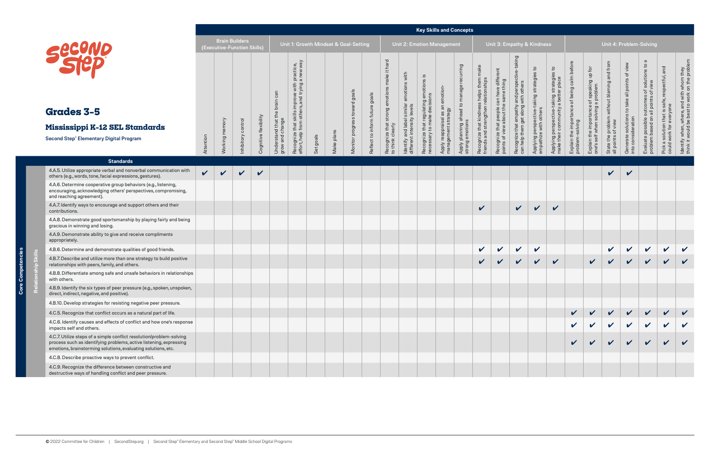|                                                                                                                                                                                                             |              | <b>Brain Builders</b> | (Executive-Function Skills) |                       |                                              |                                                                                                                                       |           |            | Unit 1: Growth Mindset & Goal-Setting |                                |                                                                                                    |                                                                                         |                                                                               | Unit 2: Emotion Management                              |                                                                   |                                                                                    |                                                                                            |                                                                                      | Unit 3: Empathy & Kindness                                                          |                                                                                                |                                                                        |                                                                                          |                                                                  |                                                                     | Unit 4: Problem-Solving                                                                       |                                                                                           |                                                                                           |
|-------------------------------------------------------------------------------------------------------------------------------------------------------------------------------------------------------------|--------------|-----------------------|-----------------------------|-----------------------|----------------------------------------------|---------------------------------------------------------------------------------------------------------------------------------------|-----------|------------|---------------------------------------|--------------------------------|----------------------------------------------------------------------------------------------------|-----------------------------------------------------------------------------------------|-------------------------------------------------------------------------------|---------------------------------------------------------|-------------------------------------------------------------------|------------------------------------------------------------------------------------|--------------------------------------------------------------------------------------------|--------------------------------------------------------------------------------------|-------------------------------------------------------------------------------------|------------------------------------------------------------------------------------------------|------------------------------------------------------------------------|------------------------------------------------------------------------------------------|------------------------------------------------------------------|---------------------------------------------------------------------|-----------------------------------------------------------------------------------------------|-------------------------------------------------------------------------------------------|-------------------------------------------------------------------------------------------|
| <b>Grades 3-5</b><br>Mississippi K-12 SEL Standards<br><b>Second Step® Elementary Digital Program</b>                                                                                                       | Attention    | Working memory        | Inhibitory control          | Cognitive flexibility | can<br>Understand that th<br>grow and change | practice,<br>a new way<br>e with<br>improve<br>rs, and<br>skills imp<br>others,<br>S<br>from<br>that<br>Recognize t<br>effort, help i | Set goals | Make plans | Monitor progress toward goals         | Reflect to inform future goals | it hard<br>make<br>$\pmb{\mathsf{C}}$<br>emotion<br>strong<br>Recognize that s<br>to think clearly | with<br>emotions<br>similar<br>Jevels<br>Identify and label si<br>different intensity l | .≌<br>emotions<br>ဖ<br>Recognize that regulating<br>necessary to make decisio | Apply reappraisal as an emotion-<br>management strategy | recurring<br>manage<br>Apply planning ahead to<br>strong emotions | make<br>Recognize that kindness helps them<br>friends and strengthen relationships | ent<br>diffe<br>Recognize that people can have diff<br>points of view about the same thing | e-taking<br>Recognize that empathy and perspe<br>can help them get along with others | $\mathbf{c}$<br>S<br>Applying perspective-taking strategie<br>empathize with others | $\mathsf{c}_1$<br>Applying perspective-taking strategie<br>make their community a better place | befor<br>ortance of being calm<br>Explain the impor<br>problem-solving | e of speaking up for<br>g a problem<br>Explain the importance<br>one's self when solving | State the problem without blaming and from<br>all points of view | Generate solutions to take all points of view<br>into consideration | $\sigma$<br>Evaluate possible outcomes of solutions to<br>problem based on all points of view | and<br>safe, respectful,<br>Pick a solution that is sa<br>could work for everyone<br>Pick | ldentify when, where, and with whom they<br>think it would be best to work on the problem |
| <b>Standards</b>                                                                                                                                                                                            |              |                       |                             |                       |                                              |                                                                                                                                       |           |            |                                       |                                |                                                                                                    |                                                                                         |                                                                               |                                                         |                                                                   |                                                                                    |                                                                                            |                                                                                      |                                                                                     |                                                                                                |                                                                        |                                                                                          |                                                                  |                                                                     |                                                                                               |                                                                                           |                                                                                           |
| 4.A.5. Utilize appropriate verbal and nonverbal communication with<br>others (e.g., words, tone, facial expressions, gestures).                                                                             | $\mathbf{v}$ | $\mathbf{v}$          | $\checkmark$                | $\checkmark$          |                                              |                                                                                                                                       |           |            |                                       |                                |                                                                                                    |                                                                                         |                                                                               |                                                         |                                                                   |                                                                                    |                                                                                            |                                                                                      |                                                                                     |                                                                                                |                                                                        |                                                                                          | V                                                                | $\checkmark$                                                        |                                                                                               |                                                                                           |                                                                                           |
| 4.A.6. Determine cooperative group behaviors (e.g., listening,<br>encouraging, acknowledging others' perspectives, compromising,<br>and reaching agreement).                                                |              |                       |                             |                       |                                              |                                                                                                                                       |           |            |                                       |                                |                                                                                                    |                                                                                         |                                                                               |                                                         |                                                                   |                                                                                    |                                                                                            |                                                                                      |                                                                                     |                                                                                                |                                                                        |                                                                                          |                                                                  |                                                                     |                                                                                               |                                                                                           |                                                                                           |
| 4.A.7. Identify ways to encourage and support others and their<br>contributions.                                                                                                                            |              |                       |                             |                       |                                              |                                                                                                                                       |           |            |                                       |                                |                                                                                                    |                                                                                         |                                                                               |                                                         |                                                                   | $\checkmark$                                                                       |                                                                                            | $\vee$                                                                               | $\vee$                                                                              | $\checkmark$                                                                                   |                                                                        |                                                                                          |                                                                  |                                                                     |                                                                                               |                                                                                           |                                                                                           |
| 4.A.8. Demonstrate good sportsmanship by playing fairly and being<br>gracious in winning and losing.                                                                                                        |              |                       |                             |                       |                                              |                                                                                                                                       |           |            |                                       |                                |                                                                                                    |                                                                                         |                                                                               |                                                         |                                                                   |                                                                                    |                                                                                            |                                                                                      |                                                                                     |                                                                                                |                                                                        |                                                                                          |                                                                  |                                                                     |                                                                                               |                                                                                           |                                                                                           |
| 4.A.9. Demonstrate ability to give and receive compliments<br>appropriately.                                                                                                                                |              |                       |                             |                       |                                              |                                                                                                                                       |           |            |                                       |                                |                                                                                                    |                                                                                         |                                                                               |                                                         |                                                                   |                                                                                    |                                                                                            |                                                                                      |                                                                                     |                                                                                                |                                                                        |                                                                                          |                                                                  |                                                                     |                                                                                               |                                                                                           |                                                                                           |
| 4.B.6. Determine and demonstrate qualities of good friends.                                                                                                                                                 |              |                       |                             |                       |                                              |                                                                                                                                       |           |            |                                       |                                |                                                                                                    |                                                                                         |                                                                               |                                                         |                                                                   | $\checkmark$                                                                       | $\vee$                                                                                     | $\sqrt{2}$                                                                           | $\mathbf v$                                                                         |                                                                                                |                                                                        |                                                                                          | $\mathbf v$                                                      | $\vee$                                                              | $\checkmark$                                                                                  | $\mathbf v$                                                                               | $\checkmark$                                                                              |
| 4.B.7. Describe and utilize more than one strategy to build positive<br>relationships with peers, family, and others.                                                                                       |              |                       |                             |                       |                                              |                                                                                                                                       |           |            |                                       |                                |                                                                                                    |                                                                                         |                                                                               |                                                         |                                                                   | $\vee$                                                                             | $\vee$                                                                                     | $\sqrt{2}$                                                                           | $\checkmark$                                                                        | $\checkmark$                                                                                   |                                                                        | $\checkmark$                                                                             | $\vee$                                                           | $\mathbf{v}$                                                        | $\mathbf{v}$                                                                                  | $\checkmark$                                                                              | $\mathbf v$                                                                               |
| 4.B.8. Differentiate among safe and unsafe behaviors in relationships<br>with others.                                                                                                                       |              |                       |                             |                       |                                              |                                                                                                                                       |           |            |                                       |                                |                                                                                                    |                                                                                         |                                                                               |                                                         |                                                                   |                                                                                    |                                                                                            |                                                                                      |                                                                                     |                                                                                                |                                                                        |                                                                                          |                                                                  |                                                                     |                                                                                               |                                                                                           |                                                                                           |
| 4.B.9. Identify the six types of peer pressure (e.g., spoken, unspoken,<br>direct, indirect, negative, and positive).                                                                                       |              |                       |                             |                       |                                              |                                                                                                                                       |           |            |                                       |                                |                                                                                                    |                                                                                         |                                                                               |                                                         |                                                                   |                                                                                    |                                                                                            |                                                                                      |                                                                                     |                                                                                                |                                                                        |                                                                                          |                                                                  |                                                                     |                                                                                               |                                                                                           |                                                                                           |
| 4.B.10. Develop strategies for resisting negative peer pressure.                                                                                                                                            |              |                       |                             |                       |                                              |                                                                                                                                       |           |            |                                       |                                |                                                                                                    |                                                                                         |                                                                               |                                                         |                                                                   |                                                                                    |                                                                                            |                                                                                      |                                                                                     |                                                                                                |                                                                        |                                                                                          |                                                                  |                                                                     |                                                                                               |                                                                                           |                                                                                           |
| 4.C.5. Recognize that conflict occurs as a natural part of life.                                                                                                                                            |              |                       |                             |                       |                                              |                                                                                                                                       |           |            |                                       |                                |                                                                                                    |                                                                                         |                                                                               |                                                         |                                                                   |                                                                                    |                                                                                            |                                                                                      |                                                                                     |                                                                                                |                                                                        |                                                                                          |                                                                  |                                                                     |                                                                                               |                                                                                           |                                                                                           |
| 4.C.6. Identify causes and effects of conflict and how one's response<br>impacts self and others.                                                                                                           |              |                       |                             |                       |                                              |                                                                                                                                       |           |            |                                       |                                |                                                                                                    |                                                                                         |                                                                               |                                                         |                                                                   |                                                                                    |                                                                                            |                                                                                      |                                                                                     |                                                                                                |                                                                        |                                                                                          |                                                                  |                                                                     |                                                                                               |                                                                                           |                                                                                           |
| 4.C.7. Utilize steps of a simple conflict resolution/problem-solving<br>process such as identifying problems, active listening, expressing<br>emotions, brainstorming solutions, evaluating solutions, etc. |              |                       |                             |                       |                                              |                                                                                                                                       |           |            |                                       |                                |                                                                                                    |                                                                                         |                                                                               |                                                         |                                                                   |                                                                                    |                                                                                            |                                                                                      |                                                                                     |                                                                                                |                                                                        |                                                                                          |                                                                  |                                                                     |                                                                                               |                                                                                           |                                                                                           |
| 4.C.8. Describe proactive ways to prevent conflict.                                                                                                                                                         |              |                       |                             |                       |                                              |                                                                                                                                       |           |            |                                       |                                |                                                                                                    |                                                                                         |                                                                               |                                                         |                                                                   |                                                                                    |                                                                                            |                                                                                      |                                                                                     |                                                                                                |                                                                        |                                                                                          |                                                                  |                                                                     |                                                                                               |                                                                                           |                                                                                           |
| 4.C.9. Recognize the difference between constructive and<br>destructive ways of handling conflict and peer pressure.                                                                                        |              |                       |                             |                       |                                              |                                                                                                                                       |           |            |                                       |                                |                                                                                                    |                                                                                         |                                                                               |                                                         |                                                                   |                                                                                    |                                                                                            |                                                                                      |                                                                                     |                                                                                                |                                                                        |                                                                                          |                                                                  |                                                                     |                                                                                               |                                                                                           |                                                                                           |

**Core Competencies**

**Core Competencies**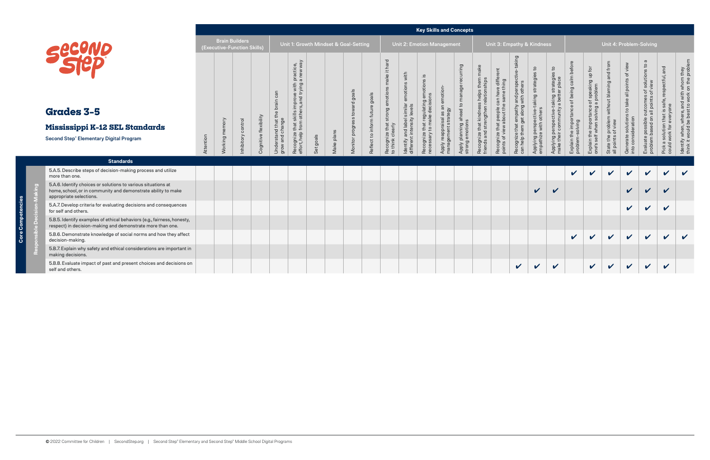|                                                                                                                                                           |           | (Executive-Function Skills) | <b>Brain Builders</b> |                       |                                       | Unit 1: Growth Mindset & Goal-Setting                                                                                                                        |           |            |                                      |                                              |                                                                  |                                                                                                   | <b>Unit 2: Emotion Management</b>                                                                          |                                                                        |                                                                                       |                                                                                                        |                                                                                                     | Unit 3: Empathy & Kindness                                                               |                                                                     |                                                                                               |                                                                         |                                                                                |                                                                  |                                                                           | Unit 4: Problem-Solving                                                           |                                                                                                                        |                                                                                          |
|-----------------------------------------------------------------------------------------------------------------------------------------------------------|-----------|-----------------------------|-----------------------|-----------------------|---------------------------------------|--------------------------------------------------------------------------------------------------------------------------------------------------------------|-----------|------------|--------------------------------------|----------------------------------------------|------------------------------------------------------------------|---------------------------------------------------------------------------------------------------|------------------------------------------------------------------------------------------------------------|------------------------------------------------------------------------|---------------------------------------------------------------------------------------|--------------------------------------------------------------------------------------------------------|-----------------------------------------------------------------------------------------------------|------------------------------------------------------------------------------------------|---------------------------------------------------------------------|-----------------------------------------------------------------------------------------------|-------------------------------------------------------------------------|--------------------------------------------------------------------------------|------------------------------------------------------------------|---------------------------------------------------------------------------|-----------------------------------------------------------------------------------|------------------------------------------------------------------------------------------------------------------------|------------------------------------------------------------------------------------------|
| <b>Grades 3-5</b><br><b>Mississippi K-12 SEL Standards</b><br><b>Second Step® Elementary Digital Program</b>                                              | Attention | Working memory              | Inhibitory control    | Cognitive flexibility | Understand that th<br>grow and change | improve with practice,<br>rs, and trying a new way<br>$\stackrel{\circ}{\equiv}$<br>$\overline{5}$<br>$\frac{1}{3}$<br>Recognize that s<br>effort, help from | Set goals | Make plans | toward goals<br>ഗ<br>Monitor progres | goals<br>$\Omega$<br>Reflect to inform futur | ake it hard<br>Recognize that strong emotion<br>to think clearly | with<br>emotions<br>similar<br><sup>/</sup> levels<br>Identify and label s<br>different intensity | $\frac{3}{2}$<br>otions<br>ng emo<br>ulating<br>deci<br>that regu<br>to make<br>Recognize t<br>necessary t | emotion<br>$\subset$<br>Apply reappraisal as ar<br>management strategy | puin<br>to manage recur<br>lead <sub>1</sub><br>Apply planning ahe<br>strong emotions | ss helps them r<br>n relationships<br>kindnes<br>angthen<br>⊻<br>Recognize that k<br>friends and strer | diffe<br>Γg<br>can have<br>$\omega$<br>$\Omega$<br>Recognize that people<br>points of view about th | king<br>perspee<br>and <sub>l</sub><br>Recognize that empathy<br>can help them get along | strate<br>taking<br>Applying perspective-t<br>empathize with others | o,<br>-taking strategie<br>y a better place<br>Applying perspective-t<br>make their community | befor<br>being calm<br>ce of<br>Explain the importan<br>problem-solving | Explain the importance of speaking up for<br>one's self when solving a problem | State the problem without blaming and from<br>all points of view | view<br>to take all points of<br>Generate solutions<br>into consideration | Evaluate possible outcomes of solutions to<br>problem based on all points of view | and<br>safe, respectful,<br>everyone<br>$\overline{\omega}$<br>that<br>I solution t<br>work for e<br>Picka:<br>could v | ldentify when, where, and with whom they<br>think it would be best to work on the proble |
| <b>Standards</b>                                                                                                                                          |           |                             |                       |                       |                                       |                                                                                                                                                              |           |            |                                      |                                              |                                                                  |                                                                                                   |                                                                                                            |                                                                        |                                                                                       |                                                                                                        |                                                                                                     |                                                                                          |                                                                     |                                                                                               |                                                                         |                                                                                |                                                                  |                                                                           |                                                                                   |                                                                                                                        |                                                                                          |
| 5.A.5. Describe steps of decision-making process and utilize<br>more than one.                                                                            |           |                             |                       |                       |                                       |                                                                                                                                                              |           |            |                                      |                                              |                                                                  |                                                                                                   |                                                                                                            |                                                                        |                                                                                       |                                                                                                        |                                                                                                     |                                                                                          |                                                                     |                                                                                               | $\mathbf v$                                                             | $\mathbf{v}$                                                                   | $\boldsymbol{\mathcal{U}}$                                       | $\boldsymbol{\mathcal{U}}$                                                | $\checkmark$                                                                      | $\checkmark$                                                                                                           | $\checkmark$                                                                             |
| 5.A.6. Identify choices or solutions to various situations at<br>home, school, or in community and demonstrate ability to make<br>appropriate selections. |           |                             |                       |                       |                                       |                                                                                                                                                              |           |            |                                      |                                              |                                                                  |                                                                                                   |                                                                                                            |                                                                        |                                                                                       |                                                                                                        |                                                                                                     |                                                                                          | $\mathbf{v}$                                                        | $\boldsymbol{\mathcal{U}}$                                                                    |                                                                         |                                                                                |                                                                  | $\boldsymbol{\mathcal{U}}$                                                | $\boldsymbol{\nu}$                                                                |                                                                                                                        |                                                                                          |
| 5.A.7. Develop criteria for evaluating decisions and consequences<br>for self and others.                                                                 |           |                             |                       |                       |                                       |                                                                                                                                                              |           |            |                                      |                                              |                                                                  |                                                                                                   |                                                                                                            |                                                                        |                                                                                       |                                                                                                        |                                                                                                     |                                                                                          |                                                                     |                                                                                               |                                                                         |                                                                                |                                                                  | $\mathbf v$                                                               | $\boldsymbol{\mathcal{U}}$                                                        | $\mathbf{v}$                                                                                                           |                                                                                          |
| 5.B.5. Identify examples of ethical behaviors (e.g., fairness, honesty,<br>respect) in decision-making and demonstrate more than one.                     |           |                             |                       |                       |                                       |                                                                                                                                                              |           |            |                                      |                                              |                                                                  |                                                                                                   |                                                                                                            |                                                                        |                                                                                       |                                                                                                        |                                                                                                     |                                                                                          |                                                                     |                                                                                               |                                                                         |                                                                                |                                                                  |                                                                           |                                                                                   |                                                                                                                        |                                                                                          |
| 5.B.6. Demonstrate knowledge of social norms and how they affect<br>decision-making.                                                                      |           |                             |                       |                       |                                       |                                                                                                                                                              |           |            |                                      |                                              |                                                                  |                                                                                                   |                                                                                                            |                                                                        |                                                                                       |                                                                                                        |                                                                                                     |                                                                                          |                                                                     |                                                                                               | $\mathbf{v}$                                                            | $\mathbf v$                                                                    | $\mathbf{v}$                                                     | $\checkmark$                                                              | $\checkmark$                                                                      | $\checkmark$                                                                                                           | $\boldsymbol{\nu}$                                                                       |
| 5.B.7. Explain why safety and ethical considerations are important in<br>making decisions.                                                                |           |                             |                       |                       |                                       |                                                                                                                                                              |           |            |                                      |                                              |                                                                  |                                                                                                   |                                                                                                            |                                                                        |                                                                                       |                                                                                                        |                                                                                                     |                                                                                          |                                                                     |                                                                                               |                                                                         |                                                                                |                                                                  |                                                                           |                                                                                   |                                                                                                                        |                                                                                          |
| 5.B.8. Evaluate impact of past and present choices and decisions on<br>self and others.                                                                   |           |                             |                       |                       |                                       |                                                                                                                                                              |           |            |                                      |                                              |                                                                  |                                                                                                   |                                                                                                            |                                                                        |                                                                                       |                                                                                                        |                                                                                                     | $\mathbf{v}$                                                                             | $\mathbf{v}$                                                        | $\mathbf v$                                                                                   |                                                                         | $\mathbf v$                                                                    | $\boldsymbol{\mathcal{U}}$                                       | $\mathbf v$                                                               | $\boldsymbol{\mathcal{U}}$                                                        | $\boldsymbol{\nu}$                                                                                                     |                                                                                          |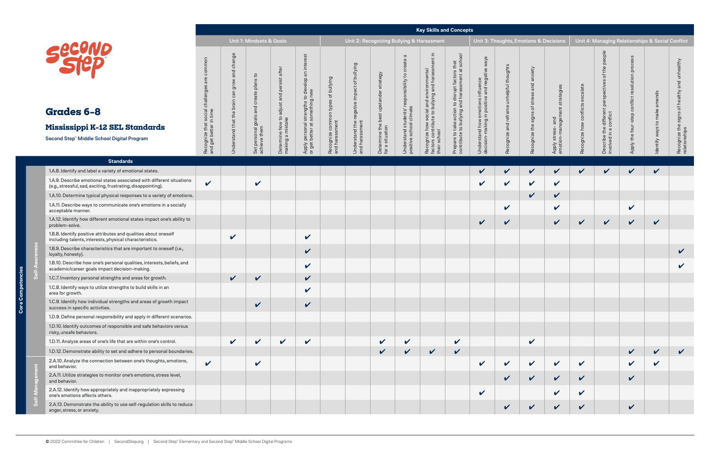## **Grades 6–8**

#### **Key Skills and Concepts**

**Self-Awareness**

|                                                                                                                                        |                                                           |                            | Unit 1: Mindsets & Goals             |                         |                                                                    |                                 |                                           |                                           |                                                   | <b>Rey ORILIS AND CONCEPTS</b><br>Unit 2: Recognizing Bullying & Harassment                                |                                              |                                                             | Unit 3: Thoughts, Emotions & Decisions |                            |                            |                            |                                       |                            | Unit 4: Managing Relationships & Social Conflict |                                  |
|----------------------------------------------------------------------------------------------------------------------------------------|-----------------------------------------------------------|----------------------------|--------------------------------------|-------------------------|--------------------------------------------------------------------|---------------------------------|-------------------------------------------|-------------------------------------------|---------------------------------------------------|------------------------------------------------------------------------------------------------------------|----------------------------------------------|-------------------------------------------------------------|----------------------------------------|----------------------------|----------------------------|----------------------------|---------------------------------------|----------------------------|--------------------------------------------------|----------------------------------|
|                                                                                                                                        |                                                           |                            |                                      |                         |                                                                    |                                 |                                           |                                           |                                                   |                                                                                                            | $\overline{g}$                               |                                                             |                                        |                            |                            |                            |                                       |                            |                                                  |                                  |
| <b>SECOND</b>                                                                                                                          | common                                                    | change<br>and<br>gro       | plans to<br>eate<br>្ង               | persist after<br>and    | est<br>inter<br>$\Xi$<br>velop<br>$\overline{e}$<br>new<br>$\circ$ | bullying<br>$\rm ^{+}$<br>types | Bullying<br>$\rm ^{+}$<br>negative impact | strategy<br>best upstander                | ៑<br>$\mathbf{S}$<br>sponsibility                 | Recognize how social and environmental<br>factors contribute to bullying and harassment in<br>their school | factors that<br>둥<br>disrupt<br>$\mathsf{S}$ | ways<br>ative<br>emotions influence<br>in positive and neg: | unhelpful thoughts                     | anxiety<br>and<br>str      | g                          | $\omega$                   | people<br>the<br>৳<br>eds<br>$\Omega$ | olution                    | ends                                             | unhealthy<br>and<br>healthy      |
| Grades 6-8                                                                                                                             |                                                           | 흐                          | and                                  | adjust a                |                                                                    |                                 |                                           |                                           |                                                   |                                                                                                            | action<br>$\sigma$                           |                                                             |                                        | 'ŏ<br>signs                |                            |                            | e different<br>conflict               |                            | make                                             | signs                            |
| Mississippi K-12 SEL Standards                                                                                                         |                                                           |                            |                                      | ne how to:<br>I mistake |                                                                    | common<br>rassment              | sment                                     |                                           |                                                   |                                                                                                            | $\frac{6}{5}$<br>요 효                         |                                                             | ㅎ                                      |                            | and                        |                            | $\Phi$<br>$\overline{\sigma}$         |                            | o,                                               |                                  |
| Second Step® Middle School Digital Program                                                                                             | Recognize that social challenge<br>and get better in time | Understand that the        | Set personal goals a<br>achieve them | Determine<br>making a   | Apply personal strengths t<br>or get better at something           | ognize<br>harass<br>Reco<br>and | Understand the r<br>and harassment        | Determine the <b>t</b><br>for a situation | Understand students' r<br>positive school climate |                                                                                                            | Prepare to t<br>contribute t                 | Understand how e<br>decision-making i                       | cognize                                | Recognize the              | stress-<br>Apply<br>emotio | cognize                    | Describe the<br>involved in a         | the fou<br>Apply           | ways<br>Identify                                 | Recognize the s<br>relationships |
| <b>Standards</b>                                                                                                                       |                                                           |                            |                                      |                         |                                                                    |                                 |                                           |                                           |                                                   |                                                                                                            |                                              |                                                             |                                        |                            |                            |                            |                                       |                            |                                                  |                                  |
| 1.A.8. Identify and label a variety of emotional states.                                                                               |                                                           |                            |                                      |                         |                                                                    |                                 |                                           |                                           |                                                   |                                                                                                            |                                              | $\checkmark$                                                | $\checkmark$                           | V                          | $\mathbf v$                | $\boldsymbol{\mathcal{U}}$ | $\checkmark$                          | $\checkmark$               | $\checkmark$                                     |                                  |
| 1.A.9. Describe emotional states associated with different situations<br>(e.g., stressful, sad, exciting, frustrating, disappointing). | $\checkmark$                                              |                            | $\mathbf v$                          |                         |                                                                    |                                 |                                           |                                           |                                                   |                                                                                                            |                                              | $\checkmark$                                                | $\checkmark$                           | $\checkmark$               | $\checkmark$               |                            |                                       |                            |                                                  |                                  |
| 1.A.10. Determine typical physical responses to a variety of emotions.                                                                 |                                                           |                            |                                      |                         |                                                                    |                                 |                                           |                                           |                                                   |                                                                                                            |                                              |                                                             |                                        | $\checkmark$               | $\checkmark$               |                            |                                       |                            |                                                  |                                  |
| 1.A.11. Describe ways to communicate one's emotions in a socially<br>acceptable manner.                                                |                                                           |                            |                                      |                         |                                                                    |                                 |                                           |                                           |                                                   |                                                                                                            |                                              |                                                             | $\checkmark$                           |                            | $\checkmark$               |                            |                                       | $\checkmark$               |                                                  |                                  |
| 1.A.12. Identify how different emotional states impact one's ability to<br>problem-solve.                                              |                                                           |                            |                                      |                         |                                                                    |                                 |                                           |                                           |                                                   |                                                                                                            |                                              | $\checkmark$                                                | $\checkmark$                           |                            | $\checkmark$               | $\checkmark$               | $\checkmark$                          | $\boldsymbol{\mathcal{U}}$ | $\checkmark$                                     |                                  |
| 1.B.8. Identify positive attributes and qualities about oneself<br>including talents, interests, physical characteristics.             |                                                           | $\boldsymbol{\mathcal{U}}$ |                                      |                         | $\checkmark$                                                       |                                 |                                           |                                           |                                                   |                                                                                                            |                                              |                                                             |                                        |                            |                            |                            |                                       |                            |                                                  |                                  |
| 1.B.9. Describe characteristics that are important to oneself (i.e.,<br>loyalty, honesty).                                             |                                                           |                            |                                      |                         | $\checkmark$                                                       |                                 |                                           |                                           |                                                   |                                                                                                            |                                              |                                                             |                                        |                            |                            |                            |                                       |                            |                                                  | $\checkmark$                     |
| 1.B.10. Describe how one's personal qualities, interests, beliefs, and<br>academic/career goals impact decision-making.                |                                                           |                            |                                      |                         | $\checkmark$                                                       |                                 |                                           |                                           |                                                   |                                                                                                            |                                              |                                                             |                                        |                            |                            |                            |                                       |                            |                                                  | $\checkmark$                     |
| 1.C.7. Inventory personal strengths and areas for growth.                                                                              |                                                           | $\checkmark$               | $\checkmark$                         |                         | $\checkmark$                                                       |                                 |                                           |                                           |                                                   |                                                                                                            |                                              |                                                             |                                        |                            |                            |                            |                                       |                            |                                                  |                                  |
| 1.C.8. Identify ways to utilize strengths to build skills in an<br>area for growth.                                                    |                                                           |                            |                                      |                         | $\boldsymbol{\mathcal{U}}$                                         |                                 |                                           |                                           |                                                   |                                                                                                            |                                              |                                                             |                                        |                            |                            |                            |                                       |                            |                                                  |                                  |
| 1.C.9. Identify how individual strengths and areas of growth impact<br>success in specific activities.                                 |                                                           |                            | $\checkmark$                         |                         | $\checkmark$                                                       |                                 |                                           |                                           |                                                   |                                                                                                            |                                              |                                                             |                                        |                            |                            |                            |                                       |                            |                                                  |                                  |
| 1.D.9. Define personal responsibility and apply in different scenarios.                                                                |                                                           |                            |                                      |                         |                                                                    |                                 |                                           |                                           |                                                   |                                                                                                            |                                              |                                                             |                                        |                            |                            |                            |                                       |                            |                                                  |                                  |
| 1.D.10. Identify outcomes of responsible and safe behaviors versus<br>risky, unsafe behaviors.                                         |                                                           |                            |                                      |                         |                                                                    |                                 |                                           |                                           |                                                   |                                                                                                            |                                              |                                                             |                                        |                            |                            |                            |                                       |                            |                                                  |                                  |
| 1.D.11. Analyze areas of one's life that are within one's control.                                                                     |                                                           | $\checkmark$               | $\mathbf v$                          | $\checkmark$            | $\checkmark$                                                       |                                 |                                           | $\boldsymbol{\mathcal{U}}$                | $\mathbf v$                                       |                                                                                                            | $\checkmark$                                 |                                                             |                                        | $\boldsymbol{\mathcal{U}}$ |                            |                            |                                       |                            |                                                  |                                  |
| 1.D.12. Demonstrate ability to set and adhere to personal boundaries.                                                                  |                                                           |                            |                                      |                         |                                                                    |                                 |                                           | $\checkmark$                              | $\checkmark$                                      | $\checkmark$                                                                                               | $\checkmark$                                 |                                                             |                                        |                            |                            |                            |                                       | $\checkmark$               | $\boldsymbol{\mathcal{U}}$                       | $\checkmark$                     |
| 2.A.10. Analyze the connection between one's thoughts, emotions,<br>and behavior.                                                      | $\checkmark$                                              |                            | $\checkmark$                         |                         |                                                                    |                                 |                                           |                                           |                                                   |                                                                                                            |                                              | $\checkmark$                                                | $\checkmark$                           | $\checkmark$               | $\mathbf v$                | $\checkmark$               |                                       | $\checkmark$               | $\checkmark$                                     |                                  |
| 2.A.11. Utilize strategies to monitor one's emotions, stress level,<br>and behavior.                                                   |                                                           |                            |                                      |                         |                                                                    |                                 |                                           |                                           |                                                   |                                                                                                            |                                              |                                                             | V                                      | $\checkmark$               | $\checkmark$               | $\checkmark$               |                                       | $\checkmark$               |                                                  |                                  |
| 2.A.12. Identify how appropriately and inappropriately expressing<br>one's emotions affects others.                                    |                                                           |                            |                                      |                         |                                                                    |                                 |                                           |                                           |                                                   |                                                                                                            |                                              | $\mathbf v$                                                 |                                        |                            | $\checkmark$               | $\checkmark$               |                                       |                            |                                                  |                                  |
| 2.A.13. Demonstrate the ability to use self-regulation skills to reduce<br>anger, stress, or anxiety.                                  |                                                           |                            |                                      |                         |                                                                    |                                 |                                           |                                           |                                                   |                                                                                                            |                                              |                                                             |                                        | $\checkmark$               | $\checkmark$               | $\checkmark$               |                                       | $\checkmark$               |                                                  |                                  |

## **Mississippi K-12 S**

| COND |
|------|
|      |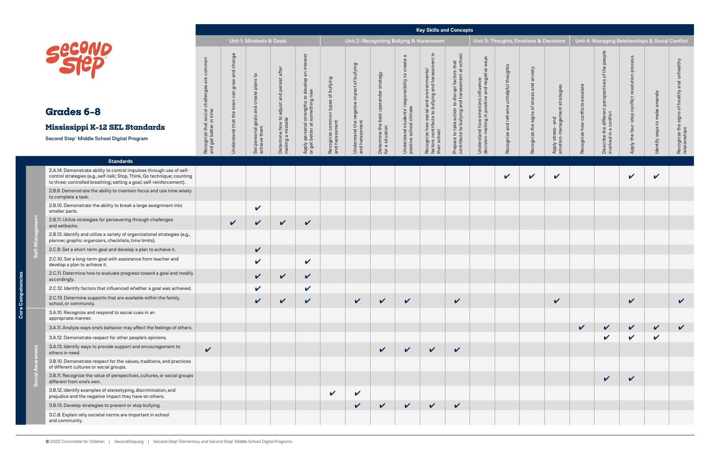**Core Competencies**

င် Core **Self-Management**

တိ

|                                                                                                                                                                                                                          |                                                                      |                                              | Unit 1: Mindsets & Goals                               |                                                                    |                                                                                                                  |                                                            |                                                              |                                                                         |                                                                                                      | <b>Rey ORILIS AND CONCEPTS</b><br>Unit 2: Recognizing Bullying & Harassment                                |                                                                                                                               |                                                                                               | Unit 3: Thoughts, Emotions & Decisions            |                                                          |                                                            |                            |                                                                                                  | Unit 4: Managing Relationships & Social Conflict                        |                                 |                                                                            |
|--------------------------------------------------------------------------------------------------------------------------------------------------------------------------------------------------------------------------|----------------------------------------------------------------------|----------------------------------------------|--------------------------------------------------------|--------------------------------------------------------------------|------------------------------------------------------------------------------------------------------------------|------------------------------------------------------------|--------------------------------------------------------------|-------------------------------------------------------------------------|------------------------------------------------------------------------------------------------------|------------------------------------------------------------------------------------------------------------|-------------------------------------------------------------------------------------------------------------------------------|-----------------------------------------------------------------------------------------------|---------------------------------------------------|----------------------------------------------------------|------------------------------------------------------------|----------------------------|--------------------------------------------------------------------------------------------------|-------------------------------------------------------------------------|---------------------------------|----------------------------------------------------------------------------|
| Second<br>Grades 6-8<br>Mississippi K-12 SEL Standards<br>Second Step® Middle School Digital Program                                                                                                                     | common<br>Recognize that social challenges<br>and get better in time | and change<br>grow<br>Understand that the br | Set personal goals and create plans to<br>achieve them | adjust and persist after<br>Determine how to a<br>making a mistake | est<br>inter<br>$\Xi$<br>develop a<br>new<br>$\circ$<br>Apply personal strengths t<br>or get better at something | of bullying<br>types<br>Recognize common<br>and harassment | Understand the negative impact of bullying<br>and harassment | strategy<br>best upstander<br>Determine the <b>t</b><br>for a situation | $\sigma$<br>ট<br>$\mathbf{S}$<br>responsibility<br>Understand students' r<br>positive school climate | Recognize how social and environmental<br>factors contribute to bullying and harassment in<br>their school | $\overline{8}$<br>to disrupt factors that<br>and harassment at sch<br>Prepare to take action to<br>contribute to bullying and | emotions influence<br>in positive and negative ways<br>Understand how e<br>decision-making ii | unhelpful thoughts<br>reframe<br>and<br>Recognize | anxiety<br>and<br>SS<br>stre<br>৳<br>Recognize the signs | tegie<br>and<br>g<br>stress-<br>on-mana<br>Apply<br>emotio | conflicts<br>cognize       | people<br>the<br>đ<br>perspectives<br>e different<br>conflict<br>Describe the<br>involved in a c | oce<br>$\overline{a}$<br>esolution<br>conflio<br>step<br>Apply the four | amends<br>Identify ways to make | and unhealthy<br>healthy<br>đ<br>signs<br>Recognize the s<br>relationships |
| <b>Standards</b>                                                                                                                                                                                                         |                                                                      |                                              |                                                        |                                                                    |                                                                                                                  |                                                            |                                                              |                                                                         |                                                                                                      |                                                                                                            |                                                                                                                               |                                                                                               |                                                   |                                                          |                                                            |                            |                                                                                                  |                                                                         |                                 |                                                                            |
| 2.A.14. Demonstrate ability to control impulses through use of self-<br>control strategies (e.g., self-talk; Stop, Think, Go technique; counting<br>to three; controlled breathing; setting a goal; self-reinforcement). |                                                                      |                                              |                                                        |                                                                    |                                                                                                                  |                                                            |                                                              |                                                                         |                                                                                                      |                                                                                                            |                                                                                                                               |                                                                                               | V                                                 | $\boldsymbol{\mathcal{U}}$                               | $\checkmark$                                               |                            |                                                                                                  | $\checkmark$                                                            | $\checkmark$                    |                                                                            |
| 2.B.9. Demonstrate the ability to maintain focus and use time wisely<br>to complete a task.                                                                                                                              |                                                                      |                                              |                                                        |                                                                    |                                                                                                                  |                                                            |                                                              |                                                                         |                                                                                                      |                                                                                                            |                                                                                                                               |                                                                                               |                                                   |                                                          |                                                            |                            |                                                                                                  |                                                                         |                                 |                                                                            |
| 2.B.10. Demonstrate the ability to break a large assignment into<br>smaller parts.                                                                                                                                       |                                                                      |                                              | $\checkmark$                                           |                                                                    |                                                                                                                  |                                                            |                                                              |                                                                         |                                                                                                      |                                                                                                            |                                                                                                                               |                                                                                               |                                                   |                                                          |                                                            |                            |                                                                                                  |                                                                         |                                 |                                                                            |
| 2.B.11. Utilize strategies for persevering through challenges<br>and setbacks.                                                                                                                                           |                                                                      | $\checkmark$                                 | $\checkmark$                                           | $\checkmark$                                                       | $\checkmark$                                                                                                     |                                                            |                                                              |                                                                         |                                                                                                      |                                                                                                            |                                                                                                                               |                                                                                               |                                                   |                                                          |                                                            |                            |                                                                                                  |                                                                         |                                 |                                                                            |
| 2.B.12. Identify and utilize a variety of organizational strategies (e.g.,<br>planner, graphic organizers, checklists, time limits).                                                                                     |                                                                      |                                              |                                                        |                                                                    |                                                                                                                  |                                                            |                                                              |                                                                         |                                                                                                      |                                                                                                            |                                                                                                                               |                                                                                               |                                                   |                                                          |                                                            |                            |                                                                                                  |                                                                         |                                 |                                                                            |
| 2.C.9. Set a short-term goal and develop a plan to achieve it.                                                                                                                                                           |                                                                      |                                              | $\checkmark$                                           |                                                                    |                                                                                                                  |                                                            |                                                              |                                                                         |                                                                                                      |                                                                                                            |                                                                                                                               |                                                                                               |                                                   |                                                          |                                                            |                            |                                                                                                  |                                                                         |                                 |                                                                            |
| 2.C.10. Set a long-term goal with assistance from teacher and<br>develop a plan to achieve it.                                                                                                                           |                                                                      |                                              | $\checkmark$                                           |                                                                    | $\checkmark$                                                                                                     |                                                            |                                                              |                                                                         |                                                                                                      |                                                                                                            |                                                                                                                               |                                                                                               |                                                   |                                                          |                                                            |                            |                                                                                                  |                                                                         |                                 |                                                                            |
| 2.C.11. Determine how to evaluate progress toward a goal and modify<br>accordingly.                                                                                                                                      |                                                                      |                                              | $\checkmark$                                           | $\checkmark$                                                       | $\checkmark$                                                                                                     |                                                            |                                                              |                                                                         |                                                                                                      |                                                                                                            |                                                                                                                               |                                                                                               |                                                   |                                                          |                                                            |                            |                                                                                                  |                                                                         |                                 |                                                                            |
| 2.C.12. Identify factors that influenced whether a goal was achieved.                                                                                                                                                    |                                                                      |                                              | V                                                      |                                                                    | $\checkmark$                                                                                                     |                                                            |                                                              |                                                                         |                                                                                                      |                                                                                                            |                                                                                                                               |                                                                                               |                                                   |                                                          |                                                            |                            |                                                                                                  |                                                                         |                                 |                                                                            |
| 2.C.13. Determine supports that are available within the family,<br>school, or community.                                                                                                                                |                                                                      |                                              | V                                                      | V                                                                  | V                                                                                                                |                                                            | $\mathbf v$                                                  | $\boldsymbol{\mathcal{U}}$                                              | $\checkmark$                                                                                         |                                                                                                            | $\checkmark$                                                                                                                  |                                                                                               |                                                   |                                                          | $\checkmark$                                               |                            |                                                                                                  | $\checkmark$                                                            |                                 | $\checkmark$                                                               |
| 3.A.10. Recognize and respond to social cues in an<br>appropriate manner.                                                                                                                                                |                                                                      |                                              |                                                        |                                                                    |                                                                                                                  |                                                            |                                                              |                                                                         |                                                                                                      |                                                                                                            |                                                                                                                               |                                                                                               |                                                   |                                                          |                                                            |                            |                                                                                                  |                                                                         |                                 |                                                                            |
| 3.A.11. Analyze ways one's behavior may affect the feelings of others.                                                                                                                                                   |                                                                      |                                              |                                                        |                                                                    |                                                                                                                  |                                                            |                                                              |                                                                         |                                                                                                      |                                                                                                            |                                                                                                                               |                                                                                               |                                                   |                                                          |                                                            | $\boldsymbol{\mathcal{U}}$ | $\checkmark$                                                                                     | $\checkmark$                                                            | $\checkmark$                    | $\boldsymbol{\mathcal{U}}$                                                 |
| 3.A.12. Demonstrate respect for other people's opinions.                                                                                                                                                                 |                                                                      |                                              |                                                        |                                                                    |                                                                                                                  |                                                            |                                                              |                                                                         |                                                                                                      |                                                                                                            |                                                                                                                               |                                                                                               |                                                   |                                                          |                                                            |                            | V                                                                                                | $\checkmark$                                                            | $\checkmark$                    |                                                                            |
| 3.A.13. Identify ways to provide support and encouragement to<br>others in need.                                                                                                                                         | $\checkmark$                                                         |                                              |                                                        |                                                                    |                                                                                                                  |                                                            |                                                              | $\boldsymbol{\mathcal{U}}$                                              | $\checkmark$                                                                                         | $\checkmark$                                                                                               | $\checkmark$                                                                                                                  |                                                                                               |                                                   |                                                          |                                                            |                            |                                                                                                  |                                                                         |                                 |                                                                            |
| 3.B.10. Demonstrate respect for the values, traditions, and practices<br>of different cultures or social groups.                                                                                                         |                                                                      |                                              |                                                        |                                                                    |                                                                                                                  |                                                            |                                                              |                                                                         |                                                                                                      |                                                                                                            |                                                                                                                               |                                                                                               |                                                   |                                                          |                                                            |                            |                                                                                                  |                                                                         |                                 |                                                                            |
| 3.B.11. Recognize the value of perspectives, cultures, or social groups<br>different from one's own.                                                                                                                     |                                                                      |                                              |                                                        |                                                                    |                                                                                                                  |                                                            |                                                              |                                                                         |                                                                                                      |                                                                                                            |                                                                                                                               |                                                                                               |                                                   |                                                          |                                                            |                            | $\checkmark$                                                                                     | $\boldsymbol{\mathcal{U}}$                                              |                                 |                                                                            |
| 3.B.12. Identify examples of stereotyping, discrimination, and<br>prejudice and the negative impact they have on others.                                                                                                 |                                                                      |                                              |                                                        |                                                                    |                                                                                                                  | $\boldsymbol{\mathcal{U}}$                                 | $\checkmark$                                                 |                                                                         |                                                                                                      |                                                                                                            |                                                                                                                               |                                                                                               |                                                   |                                                          |                                                            |                            |                                                                                                  |                                                                         |                                 |                                                                            |
| 3.B.13. Develop strategies to prevent or stop bullying.                                                                                                                                                                  |                                                                      |                                              |                                                        |                                                                    |                                                                                                                  |                                                            | $\boldsymbol{\mathcal{U}}$                                   | $\checkmark$                                                            | $\checkmark$                                                                                         | $\checkmark$                                                                                               | $\checkmark$                                                                                                                  |                                                                                               |                                                   |                                                          |                                                            |                            |                                                                                                  |                                                                         |                                 |                                                                            |
| 3.C.8. Explain why societal norms are important in school<br>and community.                                                                                                                                              |                                                                      |                                              |                                                        |                                                                    |                                                                                                                  |                                                            |                                                              |                                                                         |                                                                                                      |                                                                                                            |                                                                                                                               |                                                                                               |                                                   |                                                          |                                                            |                            |                                                                                                  |                                                                         |                                 |                                                                            |

**Social Awareness**

## **Mississippi**

#### **Key Skills and Concept**

| COND |
|------|
|      |

## Grades 6-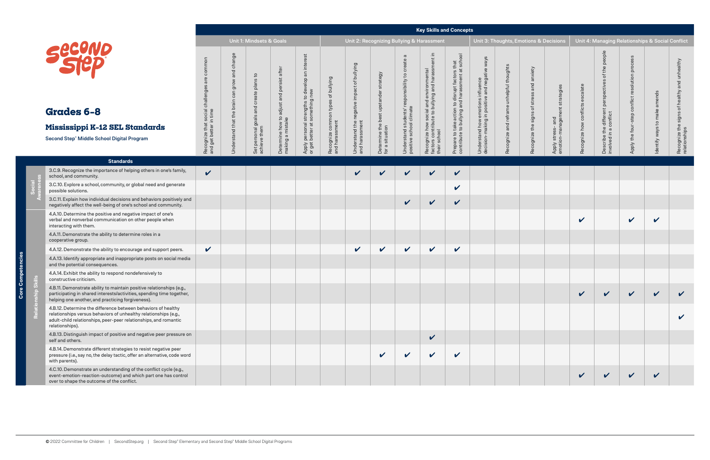**Core Competencies**

င်္

Core

**Social Awareness**

### **Mississippi I**

|                                                                                                                                                                                                                          | <b>Unit 1: Mindsets &amp; Goals</b>                                 |                                           |                                                           |                                                                  |                                                                                                              |                                                            | Unit 2: Recognizing Bullying & Harassment                    |                                                          |                                                                                          |                                                                                                               |                                                                                                                  | Unit 3: Thoughts, Emotions & Decisions                                                       |                              |                                                      |                                                                | Unit 4: Managing Relationships & Social Conflict |                                                                                 |                                                     |                                    |                                                                             |
|--------------------------------------------------------------------------------------------------------------------------------------------------------------------------------------------------------------------------|---------------------------------------------------------------------|-------------------------------------------|-----------------------------------------------------------|------------------------------------------------------------------|--------------------------------------------------------------------------------------------------------------|------------------------------------------------------------|--------------------------------------------------------------|----------------------------------------------------------|------------------------------------------------------------------------------------------|---------------------------------------------------------------------------------------------------------------|------------------------------------------------------------------------------------------------------------------|----------------------------------------------------------------------------------------------|------------------------------|------------------------------------------------------|----------------------------------------------------------------|--------------------------------------------------|---------------------------------------------------------------------------------|-----------------------------------------------------|------------------------------------|-----------------------------------------------------------------------------|
| <b>Second</b><br>Grades 6-8<br>Mississippi K-12 SEL Standards<br>Second Step® Middle School Digital Program                                                                                                              | common<br>Recognize that social challenge<br>and get better in time | change<br>and<br>ځ<br>Understand that the | plans to<br>Set personal goals and create<br>achieve them | and persist after<br>Determine how to adjust<br>making a mistake | inter<br>$\overline{a}$<br>to develop a<br>g new<br>Apply personal strengths t<br>or get better at something | of bullying<br>types<br>Recognize common<br>and harassment | Understand the negative impact of bullying<br>and harassment | Determine the best upstander strategy<br>for a situation | σ<br>create<br>S,<br>responsibility<br>Understand students' r<br>positive school climate | .드<br>Recognize how social and environmental<br>factors contribute to bullying and harassment<br>their school | $\overline{Q}$<br>Prepare to take action to disrupt factors that<br>contribute to bullying and harassment at sch | emotions influence<br>in positive and negative ways<br>Understand how e<br>decision-making i | unhelpful thoughts<br>ognize | anxiety<br>stress and<br>signs of s<br>Recognize the | ategie<br>and<br>ager<br>stress-<br>ion-man<br>Apply<br>emotic | ate<br>ᢎ<br>conflicts<br>Recognize how           | people<br>the<br>৳<br>perspectives<br>a different<br>conflict<br>Describe the o | process<br>resolution<br>conflict<br>Apply the four | amends<br>make<br>Identify ways to | unhealthy<br>and<br>of healthy<br>signs<br>Recognize the s<br>relationships |
| <b>Standards</b>                                                                                                                                                                                                         |                                                                     |                                           |                                                           |                                                                  |                                                                                                              |                                                            |                                                              |                                                          |                                                                                          |                                                                                                               |                                                                                                                  |                                                                                              |                              |                                                      |                                                                |                                                  |                                                                                 |                                                     |                                    |                                                                             |
| 3.C.9. Recognize the importance of helping others in one's family,<br>school, and community.                                                                                                                             | $\boldsymbol{\mathcal{U}}$                                          |                                           |                                                           |                                                                  |                                                                                                              |                                                            | V                                                            | $\boldsymbol{\nu}$                                       | V                                                                                        | $\checkmark$                                                                                                  | $\checkmark$                                                                                                     |                                                                                              |                              |                                                      |                                                                |                                                  |                                                                                 |                                                     |                                    |                                                                             |
| 3.C.10. Explore a school, community, or global need and generate<br>possible solutions.                                                                                                                                  |                                                                     |                                           |                                                           |                                                                  |                                                                                                              |                                                            |                                                              |                                                          |                                                                                          |                                                                                                               | $\checkmark$                                                                                                     |                                                                                              |                              |                                                      |                                                                |                                                  |                                                                                 |                                                     |                                    |                                                                             |
| 3.C.11. Explain how individual decisions and behaviors positively and<br>negatively affect the well-being of one's school and community.                                                                                 |                                                                     |                                           |                                                           |                                                                  |                                                                                                              |                                                            |                                                              |                                                          | $\checkmark$                                                                             | $\checkmark$                                                                                                  | $\checkmark$                                                                                                     |                                                                                              |                              |                                                      |                                                                |                                                  |                                                                                 |                                                     |                                    |                                                                             |
| 4.A.10. Determine the positive and negative impact of one's<br>verbal and nonverbal communication on other people when<br>interacting with them.                                                                         |                                                                     |                                           |                                                           |                                                                  |                                                                                                              |                                                            |                                                              |                                                          |                                                                                          |                                                                                                               |                                                                                                                  |                                                                                              |                              |                                                      |                                                                | V                                                |                                                                                 | $\checkmark$                                        | $\boldsymbol{\mathcal{U}}$         |                                                                             |
| 4.A.11. Demonstrate the ability to determine roles in a<br>cooperative group.                                                                                                                                            |                                                                     |                                           |                                                           |                                                                  |                                                                                                              |                                                            |                                                              |                                                          |                                                                                          |                                                                                                               |                                                                                                                  |                                                                                              |                              |                                                      |                                                                |                                                  |                                                                                 |                                                     |                                    |                                                                             |
| 4.A.12. Demonstrate the ability to encourage and support peers.                                                                                                                                                          | $\checkmark$                                                        |                                           |                                                           |                                                                  |                                                                                                              |                                                            | $\checkmark$                                                 | $\checkmark$                                             | $\mathbf v$                                                                              | $\mathbf v$                                                                                                   | $\checkmark$                                                                                                     |                                                                                              |                              |                                                      |                                                                |                                                  |                                                                                 |                                                     |                                    |                                                                             |
| 4.A.13. Identify appropriate and inappropriate posts on social media<br>and the potential consequences.                                                                                                                  |                                                                     |                                           |                                                           |                                                                  |                                                                                                              |                                                            |                                                              |                                                          |                                                                                          |                                                                                                               |                                                                                                                  |                                                                                              |                              |                                                      |                                                                |                                                  |                                                                                 |                                                     |                                    |                                                                             |
| 4.A.14. Exhibit the ability to respond nondefensively to<br>constructive criticism.                                                                                                                                      |                                                                     |                                           |                                                           |                                                                  |                                                                                                              |                                                            |                                                              |                                                          |                                                                                          |                                                                                                               |                                                                                                                  |                                                                                              |                              |                                                      |                                                                |                                                  |                                                                                 |                                                     |                                    |                                                                             |
| 4.B.11. Demonstrate ability to maintain positive relationships (e.g.,<br>participating in shared interests/activities, spending time together,<br>helping one another, and practicing forgiveness).                      |                                                                     |                                           |                                                           |                                                                  |                                                                                                              |                                                            |                                                              |                                                          |                                                                                          |                                                                                                               |                                                                                                                  |                                                                                              |                              |                                                      |                                                                |                                                  | $\sim$ $\sim$                                                                   | $\sim$ $\sim$                                       | $\sim$ $\sim$                      |                                                                             |
| 4.B.12. Determine the difference between behaviors of healthy<br>relationships versus behaviors of unhealthy relationships (e.g.,<br>adult-child relationships, peer-peer relationships, and romantic<br>relationships). |                                                                     |                                           |                                                           |                                                                  |                                                                                                              |                                                            |                                                              |                                                          |                                                                                          |                                                                                                               |                                                                                                                  |                                                                                              |                              |                                                      |                                                                |                                                  |                                                                                 |                                                     |                                    | V                                                                           |
| 4.B.13. Distinguish impact of positive and negative peer pressure on<br>self and others.                                                                                                                                 |                                                                     |                                           |                                                           |                                                                  |                                                                                                              |                                                            |                                                              |                                                          |                                                                                          | $\checkmark$                                                                                                  |                                                                                                                  |                                                                                              |                              |                                                      |                                                                |                                                  |                                                                                 |                                                     |                                    |                                                                             |
| 4.B.14. Demonstrate different strategies to resist negative peer<br>pressure (i.e., say no, the delay tactic, offer an alternative, code word<br>with parents).                                                          |                                                                     |                                           |                                                           |                                                                  |                                                                                                              |                                                            |                                                              | $\boldsymbol{\mathcal{U}}$                               | V                                                                                        | $\boldsymbol{\mathcal{U}}$                                                                                    | $\boldsymbol{\mathcal{U}}$                                                                                       |                                                                                              |                              |                                                      |                                                                |                                                  |                                                                                 |                                                     |                                    |                                                                             |
| 4.C.10. Demonstrate an understanding of the conflict cycle (e.g.,<br>event-emotion-reaction-outcome) and which part one has control<br>over to shape the outcome of the conflict.                                        |                                                                     |                                           |                                                           |                                                                  |                                                                                                              |                                                            |                                                              |                                                          |                                                                                          |                                                                                                               |                                                                                                                  |                                                                                              |                              |                                                      |                                                                | V                                                | $\checkmark$                                                                    | V                                                   | $\boldsymbol{\mathcal{U}}$         |                                                                             |

**Relationship Skills**

 $\overline{R}$ 

 $\ddot{\vec{a}}$ 

| <b>20ND</b> |
|-------------|
|             |

## Grades 6-